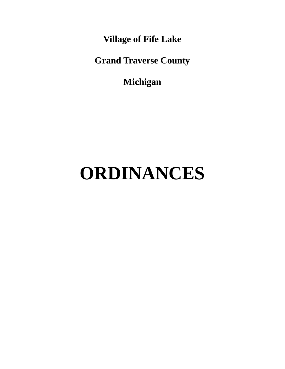**Village of Fife Lake**

**Grand Traverse County**

**Michigan**

# **ORDINANCES**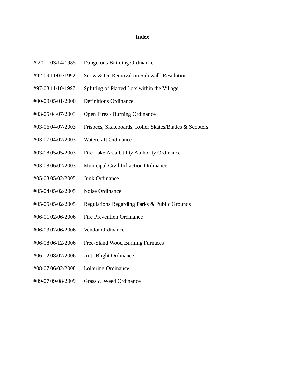#### **Index**

- # 20 03/14/1985 Dangerous Building Ordinance
- #92-09 11/02/1992 Snow & Ice Removal on Sidewalk Resolution
- #97-03 11/10/1997 Splitting of Platted Lots within the Village
- #00-09 05/01/2000 Definitions Ordinance
- #03-05 04/07/2003 Open Fires / Burning Ordinance
- #03-06 04/07/2003 Frisbees, Skateboards, Roller Skates/Blades & Scooters
- #03-07 04/07/2003 Watercraft Ordinance
- #03-18 05/05/2003 Fife Lake Area Utility Authority Ordinance
- #03-08 06/02/2003 Municipal Civil Infraction Ordinance
- #05-03 05/02/2005 Junk Ordinance
- #05-04 05/02/2005 Noise Ordinance
- #05-05 05/02/2005 Regulations Regarding Parks & Public Grounds
- #06-01 02/06/2006 Fire Prevention Ordinance
- #06-03 02/06/2006 Vendor Ordinance
- #06-08 06/12/2006 Free-Stand Wood Burning Furnaces
- #06-12 08/07/2006 Anti-Blight Ordinance
- #08-07 06/02/2008 Loitering Ordinance
- #09-07 09/08/2009 Grass & Weed Ordinance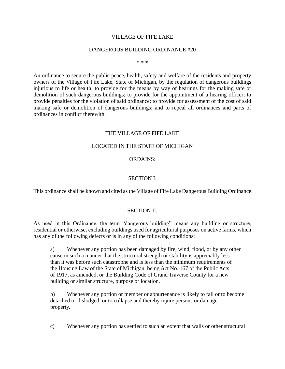# VILLAGE OF FIFE LAKE

#### DANGEROUS BUILDING ORDINANCE #20

\* \* \*

An ordinance to secure the public peace, health, safety and welfare of the residents and property owners of the Village of Fife Lake, State of Michigan, by the regulation of dangerous buildings injurious to life or health; to provide for the means by way of hearings for the making safe or demolition of such dangerous buildings; to provide for the appointment of a hearing officer; to provide penalties for the violation of said ordinance; to provide for assessment of the cost of said making safe or demolition of dangerous buildings; and to repeal all ordinances and parts of ordinances in conflict therewith.

## THE VILLAGE OF FIFE LAKE

## LOCATED IN THE STATE OF MICHIGAN

#### ORDAINS:

## SECTION I.

This ordinance shall be known and cited as the Village of Fife Lake Dangerous Building Ordinance.

#### SECTION II.

As used in this Ordinance, the term "dangerous building" means any building or structure, residential or otherwise, excluding buildings used for agricultural purposes on active farms, which has any of the following defects or is in any of the following conditions:

a) Whenever any portion has been damaged by fire, wind, flood, or by any other cause in such a manner that the structural strength or stability is appreciably less than it was before such catastrophe and is less than the minimum requirements of the Housing Law of the State of Michigan, being Act No. 167 of the Public Acts of 1917, as amended, or the Building Code of Grand Traverse County for a new building or similar structure, purpose or location.

b) Whenever any portion or member or appurtenance is likely to fall or to become detached or dislodged, or to collapse and thereby injure persons or damage property.

c) Whenever any portion has settled to such an extent that walls or other structural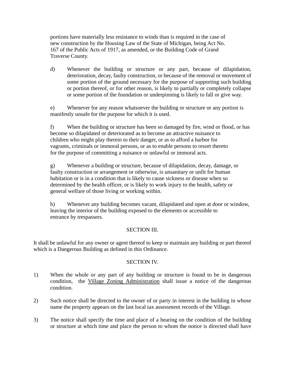portions have materially less resistance to winds than is required in the case of new construction by the Housing Law of the State of Michigan, being Act No. 167 of the Public Acts of 1917, as amended, or the Building Code of Grand Traverse County.

d) Whenever the building or structure or any part, because of dilapidation, deterioration, decay, faulty construction, or because of the removal or movement of some portion of the ground necessary for the purpose of supporting such building or portion thereof, or for other reason, is likely to partially or completely collapse or some portion of the foundation or underpinning is likely to fall or give way.

e) Whenever for any reason whatsoever the building or structure or any portion is manifestly unsafe for the purpose for which it is used.

f) When the building or structure has been so damaged by fire, wind or flood, or has become so dilapidated or deteriorated as to become an attractive nuisance to children who might play therein to their danger, or as to afford a harbor for vagrants, criminals or immoral persons, or as to enable persons to resort thereto for the purpose of committing a nuisance or unlawful or immoral acts.

g) Whenever a building or structure, because of dilapidation, decay, damage, or faulty construction or arrangement or otherwise, is unsanitary or unfit for human habitation or is in a condition that is likely to cause sickness or disease when so determined by the health officer, or is likely to work injury to the health, safety or general welfare of those living or working within.

h) Whenever any building becomes vacant, dilapidated and open at door or window, leaving the interior of the building exposed to the elements or accessible to entrance by trespassers.

# SECTION III.

It shall be unlawful for any owner or agent thereof to keep or maintain any building or part thereof which is a Dangerous Building as defined in this Ordinance.

## SECTION IV.

- 1) When the whole or any part of any building or structure is found to be in dangerous condition, the Village Zoning Administration shall issue a notice of the dangerous condition.
- 2) Such notice shall be directed to the owner of or party in interest in the building in whose name the property appears on the last local tax assessment records of the Village.
- 3) The notice shall specify the time and place of a hearing on the condition of the building or structure at which time and place the person to whom the notice is directed shall have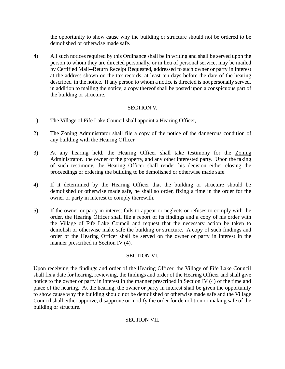the opportunity to show cause why the building or structure should not be ordered to be demolished or otherwise made safe.

4) All such notices required by this Ordinance shall be in writing and shall be served upon the person to whom they are directed personally, or in lieu of personal service, may be mailed by Certified Mail--Return Receipt Requested, addressed to such owner or party in interest at the address shown on the tax records, at least ten days before the date of the hearing described in the notice. If any person to whom a notice is directed is not personally served, in addition to mailing the notice, a copy thereof shall be posted upon a conspicuous part of the building or structure.

# SECTION V.

- 1) The Village of Fife Lake Council shall appoint a Hearing Officer,
- 2) The Zoning Administrator shall file a copy of the notice of the dangerous condition of any building with the Hearing Officer.
- 3) At any hearing held, the Hearing Officer shall take testimony for the Zoning Administrator, the owner of the property, and any other interested party. Upon the taking of such testimony, the Hearing Officer shall render his decision either closing the proceedings or ordering the building to be demolished or otherwise made safe.
- 4) If it determined by the Hearing Officer that the building or structure should be demolished or otherwise made safe, he shall so order, fixing a time in the order for the owner or party in interest to comply therewith.
- 5) If the owner or party in interest fails to appear or neglects or refuses to comply with the order, the Hearing Officer shall file a report of its findings and a copy of his order with the Village of Fife Lake Council and request that the necessary action be taken to demolish or otherwise make safe the building or structure. A copy of such findings and order of the Hearing Officer shall be served on the owner or party in interest in the manner prescribed in Section IV (4).

## SECTION VI.

Upon receiving the findings and order of the Hearing Officer, the Village of Fife Lake Council shall fix a date for hearing, reviewing, the findings and order of the Hearing Officer and shall give notice to the owner or party in interest in the manner prescribed in Section IV (4) of the time and place of the hearing. At the hearing, the owner or party in interest shall be given the opportunity to show cause why the building should not be demolished or otherwise made safe and the Village Council shall either approve, disapprove or modify the order for demolition or making safe of the building or structure.

# SECTION VII.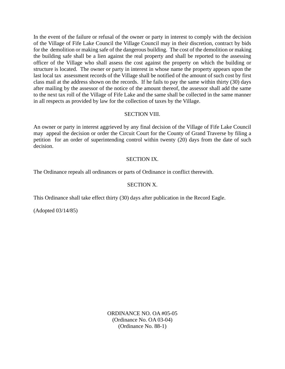In the event of the failure or refusal of the owner or party in interest to comply with the decision of the Village of Fife Lake Council the Village Council may in their discretion, contract by bids for the demolition or making safe of the dangerous building. The cost of the demolition or making the building safe shall be a lien against the real property and shall be reported to the assessing officer of the Village who shall assess the cost against the property on which the building or structure is located. The owner or party in interest in whose name the property appears upon the last local tax assessment records of the Village shall be notified of the amount of such cost by first class mail at the address shown on the records. If he fails to pay the same within thirty (30) days after mailing by the assessor of the notice of the amount thereof, the assessor shall add the same to the next tax roll of the Village of Fife Lake and the same shall be collected in the same manner in all respects as provided by law for the collection of taxes by the Village.

# SECTION VIII.

An owner or party in interest aggrieved by any final decision of the Village of Fife Lake Council may appeal the decision or order the Circuit Court for the County of Grand Traverse by filing a petition for an order of superintending control within twenty (20) days from the date of such decision.

## SECTION IX.

The Ordinance repeals all ordinances or parts of Ordinance in conflict therewith.

# SECTION X.

This Ordinance shall take effect thirty (30) days after publication in the Record Eagle.

(Adopted 03/14/85)

ORDINANCE NO. OA #05-05 (Ordinance No. OA 03-04) (Ordinance No. 88-1)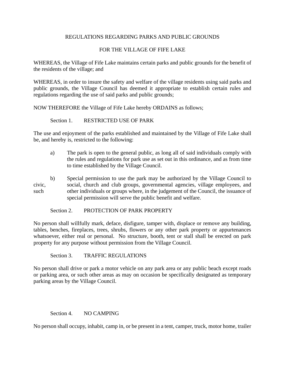# REGULATIONS REGARDING PARKS AND PUBLIC GROUNDS

# FOR THE VILLAGE OF FIFE LAKE

WHEREAS, the Village of Fife Lake maintains certain parks and public grounds for the benefit of the residents of the village; and

WHEREAS, in order to insure the safety and welfare of the village residents using said parks and public grounds, the Village Council has deemed it appropriate to establish certain rules and regulations regarding the use of said parks and public grounds;

NOW THEREFORE the Village of Fife Lake hereby ORDAINS as follows;

Section 1. RESTRICTED USE OF PARK

The use and enjoyment of the parks established and maintained by the Village of Fife Lake shall be, and hereby is, restricted to the following:

- a) The park is open to the general public, as long all of said individuals comply with the rules and regulations for park use as set out in this ordinance, and as from time to time established by the Village Council.
- b) Special permission to use the park may be authorized by the Village Council to civic, social, church and club groups, governmental agencies, village employees, and such other individuals or groups where, in the judgement of the Council, the issuance of special permission will serve the public benefit and welfare.

#### Section 2. PROTECTION OF PARK PROPERTY

No person shall willfully mark, deface, disfigure, tamper with, displace or remove any building, tables, benches, fireplaces, trees, shrubs, flowers or any other park property or appurtenances whatsoever, either real or personal. No structure, booth, tent or stall shall be erected on park property for any purpose without permission from the Village Council.

Section 3. TRAFFIC REGULATIONS

No person shall drive or park a motor vehicle on any park area or any public beach except roads or parking area, or such other areas as may on occasion be specifically designated as temporary parking areas by the Village Council.

## Section 4. NO CAMPING

No person shall occupy, inhabit, camp in, or be present in a tent, camper, truck, motor home, trailer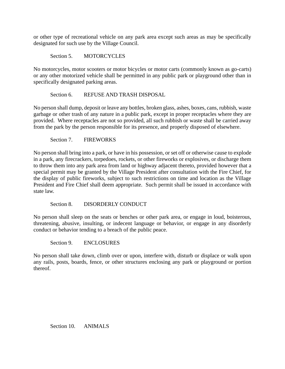or other type of recreational vehicle on any park area except such areas as may be specifically designated for such use by the Village Council.

Section 5. MOTORCYCLES

No motorcycles, motor scooters or motor bicycles or motor carts (commonly known as go-carts) or any other motorized vehicle shall be permitted in any public park or playground other than in specifically designated parking areas.

## Section 6. REFUSE AND TRASH DISPOSAL

No person shall dump, deposit or leave any bottles, broken glass, ashes, boxes, cans, rubbish, waste garbage or other trash of any nature in a public park, except in proper receptacles where they are provided. Where receptacles are not so provided, all such rubbish or waste shall be carried away from the park by the person responsible for its presence, and properly disposed of elsewhere.

Section 7. FIREWORKS

No person shall bring into a park, or have in his possession, or set off or otherwise cause to explode in a park, any firecrackers, torpedoes, rockets, or other fireworks or explosives, or discharge them to throw them into any park area from land or highway adjacent thereto, provided however that a special permit may be granted by the Village President after consultation with the Fire Chief, for the display of public fireworks, subject to such restrictions on time and location as the Village President and Fire Chief shall deem appropriate. Such permit shall be issued in accordance with state law.

Section 8. DISORDERLY CONDUCT

No person shall sleep on the seats or benches or other park area, or engage in loud, boisterous, threatening, abusive, insulting, or indecent language or behavior, or engage in any disorderly conduct or behavior tending to a breach of the public peace.

Section 9. ENCLOSURES

No person shall take down, climb over or upon, interfere with, disturb or displace or walk upon any rails, posts, boards, fence, or other structures enclosing any park or playground or portion thereof.

Section 10. ANIMALS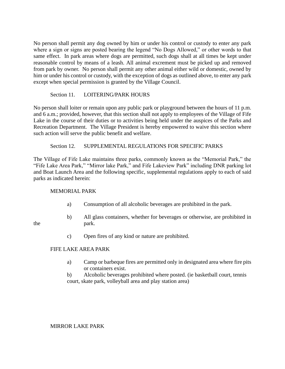No person shall permit any dog owned by him or under his control or custody to enter any park where a sign or signs are posted bearing the legend "No Dogs Allowed," or other words to that same effect. In park areas where dogs are permitted, such dogs shall at all times be kept under reasonable control by means of a leash. All animal excrement must be picked up and removed from park by owner. No person shall permit any other animal either wild or domestic, owned by him or under his control or custody, with the exception of dogs as outlined above, to enter any park except when special permission is granted by the Village Council.

# Section 11. LOITERING/PARK HOURS

No person shall loiter or remain upon any public park or playground between the hours of 11 p.m. and 6 a.m.; provided, however, that this section shall not apply to employees of the Village of Fife Lake in the course of their duties or to activities being held under the auspices of the Parks and Recreation Department. The Village President is hereby empowered to waive this section where such action will serve the public benefit and welfare.

# Section 12. SUPPLEMENTAL REGULATIONS FOR SPECIFIC PARKS

The Village of Fife Lake maintains three parks, commonly known as the "Memorial Park," the "Fife Lake Area Park," "Mirror lake Park," and Fife Lakeview Park" including DNR parking lot and Boat Launch Area and the following specific, supplemental regulations apply to each of said parks as indicated herein:

## MEMORIAL PARK

- a) Consumption of all alcoholic beverages are prohibited in the park.
- b) All glass containers, whether for beverages or otherwise, are prohibited in the park.
- 
- c) Open fires of any kind or nature are prohibited.

# FIFE LAKE AREA PARK

- a) Camp or barbeque fires are permitted only in designated area where fire pits or containers exist.
- b) Alcoholic beverages prohibited where posted. (ie basketball court, tennis court, skate park, volleyball area and play station area)

MIRROR LAKE PARK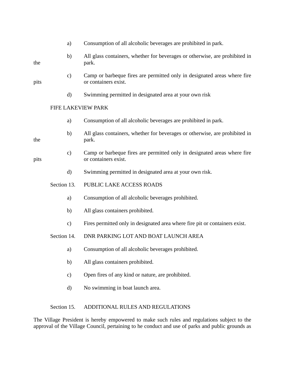|      | a)                 | Consumption of all alcoholic beverages are prohibited in park.                                   |
|------|--------------------|--------------------------------------------------------------------------------------------------|
| the  | b)                 | All glass containers, whether for beverages or otherwise, are prohibited in<br>park.             |
| pits | $\mathbf{c})$      | Camp or barbeque fires are permitted only in designated areas where fire<br>or containers exist. |
|      | d)                 | Swimming permitted in designated area at your own risk                                           |
|      | FIFE LAKEVIEW PARK |                                                                                                  |
|      | a)                 | Consumption of all alcoholic beverages are prohibited in park.                                   |
| the  | b)                 | All glass containers, whether for beverages or otherwise, are prohibited in<br>park.             |
| pits | $\mathbf{c})$      | Camp or barbeque fires are permitted only in designated areas where fire<br>or containers exist. |
|      | d)                 | Swimming permitted in designated area at your own risk.                                          |
|      | Section 13.        | PUBLIC LAKE ACCESS ROADS                                                                         |
|      | a)                 | Consumption of all alcoholic beverages prohibited.                                               |
|      | b)                 | All glass containers prohibited.                                                                 |
|      | $\mathbf{c})$      | Fires permitted only in designated area where fire pit or containers exist.                      |
|      | Section 14.        | DNR PARKING LOT AND BOAT LAUNCH AREA                                                             |
|      | a)                 | Consumption of all alcoholic beverages prohibited.                                               |
|      | b)                 | All glass containers prohibited.                                                                 |
|      | $\mathbf{c})$      | Open fires of any kind or nature, are prohibited.                                                |
|      | $\rm d)$           | No swimming in boat launch area.                                                                 |
|      |                    |                                                                                                  |

# Section 15. ADDITIONAL RULES AND REGULATIONS

The Village President is hereby empowered to make such rules and regulations subject to the approval of the Village Council, pertaining to he conduct and use of parks and public grounds as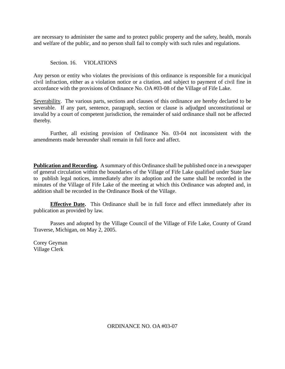are necessary to administer the same and to protect public property and the safety, health, morals and welfare of the public, and no person shall fail to comply with such rules and regulations.

# Section. 16. VIOLATIONS

Any person or entity who violates the provisions of this ordinance is responsible for a municipal civil infraction, either as a violation notice or a citation, and subject to payment of civil fine in accordance with the provisions of Ordinance No. OA #03-08 of the Village of Fife Lake.

Severability. The various parts, sections and clauses of this ordinance are hereby declared to be severable. If any part, sentence, paragraph, section or clause is adjudged unconstitutional or invalid by a court of competent jurisdiction, the remainder of said ordinance shall not be affected thereby.

Further, all existing provision of Ordinance No. 03-04 not inconsistent with the amendments made hereunder shall remain in full force and affect.

**Publication and Recording.** A summary of this Ordinance shall be published once in a newspaper of general circulation within the boundaries of the Village of Fife Lake qualified under State law to publish legal notices, immediately after its adoption and the same shall be recorded in the minutes of the Village of Fife Lake of the meeting at which this Ordinance was adopted and, in addition shall be recorded in the Ordinance Book of the Village.

**Effective Date.** This Ordinance shall be in full force and effect immediately after its publication as provided by law.

Passes and adopted by the Village Council of the Village of Fife Lake, County of Grand Traverse, Michigan, on May 2, 2005.

Corey Geyman Village Clerk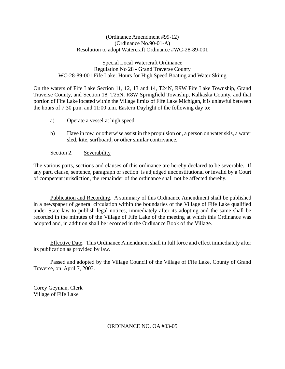# (Ordinance Amendment #99-12) (Ordinance No.90-01-A) Resolution to adopt Watercraft Ordinance #WC-28-89-001

## Special Local Watercraft Ordinance Regulation No 28 - Grand Traverse County WC-28-89-001 Fife Lake: Hours for High Speed Boating and Water Skiing

On the waters of Fife Lake Section 11, 12, 13 and 14, T24N, R9W Fife Lake Township, Grand Traverse County, and Section 18, T25N, R8W Springfield Township, Kalkaska County, and that portion of Fife Lake located within the Village limits of Fife Lake Michigan, it is unlawful between the hours of 7:30 p.m. and 11:00 a.m. Eastern Daylight of the following day to:

- a) Operate a vessel at high speed
- b) Have in tow, or otherwise assist in the propulsion on, a person on water skis, a water sled, kite, surfboard, or other similar contrivance.

## Section 2. Severability

The various parts, sections and clauses of this ordinance are hereby declared to be severable. If any part, clause, sentence, paragraph or section is adjudged unconstitutional or invalid by a Court of competent jurisdiction, the remainder of the ordinance shall not be affected thereby.

Publication and Recording. A summary of this Ordinance Amendment shall be published in a newspaper of general circulation within the boundaries of the Village of Fife Lake qualified under State law to publish legal notices, immediately after its adopting and the same shall be recorded in the minutes of the Village of Fife Lake of the meeting at which this Ordinance was adopted and, in addition shall be recorded in the Ordinance Book of the Village.

Effective Date. This Ordinance Amendment shall in full force and effect immediately after its publication as provided by law.

Passed and adopted by the Village Council of the Village of Fife Lake, County of Grand Traverse, on April 7, 2003.

Corey Geyman, Clerk Village of Fife Lake

ORDINANCE NO. OA #03-05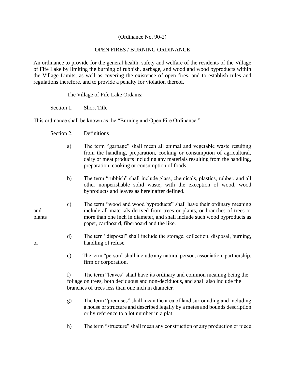# (Ordinance No. 90-2)

# OPEN FIRES / BURNING ORDINANCE

An ordinance to provide for the general health, safety and welfare of the residents of the Village of Fife Lake by limiting the burning of rubbish, garbage, and wood and wood byproducts within the Village Limits, as well as covering the existence of open fires, and to establish rules and regulations therefore, and to provide a penalty for violation thereof.

The Village of Fife Lake Ordains:

Section 1. Short Title

This ordinance shall be known as the "Burning and Open Fire Ordinance."

Section 2. Definitions

- a) The term "garbage" shall mean all animal and vegetable waste resulting from the handling, preparation, cooking or consumption of agricultural, dairy or meat products including any materials resulting from the handling, preparation, cooking or consumption of foods.
- b) The term "rubbish" shall include glass, chemicals, plastics, rubber, and all other nonperishable solid waste, with the exception of wood, wood byproducts and leaves as hereinafter defined.
- c) The term "wood and wood byproducts" shall have their ordinary meaning and include all materials derived from trees or plants, or branches of trees or plants more than one inch in diameter, and shall include such wood byproducts as paper, cardboard, fiberboard and the like.

d) The tern "disposal" shall include the storage, collection, disposal, burning, or handling of refuse.

> e) The term "person" shall include any natural person, association, partnership, firm or corporation.

f) The term "leaves" shall have its ordinary and common meaning being the foliage on trees, both deciduous and non-deciduous, and shall also include the branches of trees less than one inch in diameter.

- g) The term "premises" shall mean the area of land surrounding and including a house or structure and described legally by a metes and bounds description or by reference to a lot number in a plat.
- h) The term "structure" shall mean any construction or any production or piece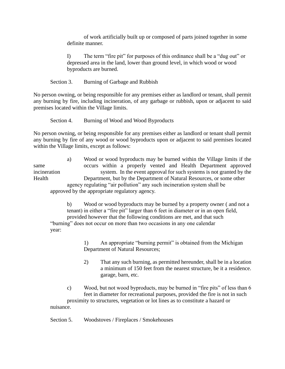of work artificially built up or composed of parts joined together in some definite manner.

I) The term "fire pit" for purposes of this ordinance shall be a "dug out" or depressed area in the land, lower than ground level, in which wood or wood byproducts are burned.

Section 3. Burning of Garbage and Rubbish

No person owning, or being responsible for any premises either as landlord or tenant, shall permit any burning by fire, including incineration, of any garbage or rubbish, upon or adjacent to said premises located within the Village limits.

Section 4. Burning of Wood and Wood Byproducts

No person owning, or being responsible for any premises either as landlord or tenant shall permit any burning by fire of any wood or wood byproducts upon or adjacent to said premises located within the Village limits, except as follows:

a) Wood or wood byproducts may be burned within the Village limits if the same occurs within a properly vented and Health Department approved incineration system. In the event approval for such systems is not granted by the Health Department, but by the Department of Natural Resources, or some other agency regulating "air pollution" any such incineration system shall be approved by the appropriate regulatory agency.

b) Wood or wood byproducts may be burned by a property owner ( and not a tenant) in either a "fire pit" larger than 6 feet in diameter or in an open field, provided however that the following conditions are met, and that such "burning" does not occur on more than two occasions in any one calendar year:

> 1) An appropriate "burning permit" is obtained from the Michigan Department of Natural Resources;

- 2) That any such burning, as permitted hereunder, shall be in a location a minimum of 150 feet from the nearest structure, be it a residence. garage, barn, etc.
- c) Wood, but not wood byproducts, may be burned in "fire pits" of less than 6 feet in diameter for recreational purposes, provided the fire is not in such proximity to structures, vegetation or lot lines as to constitute a hazard or nuisance.

Section 5. Woodstoves / Fireplaces / Smokehouses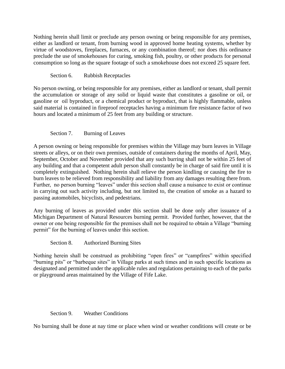Nothing herein shall limit or preclude any person owning or being responsible for any premises, either as landlord or tenant, from burning wood in approved home heating systems, whether by virtue of woodstoves, fireplaces, furnaces, or any combination thereof; nor does this ordinance preclude the use of smokehouses for curing, smoking fish, poultry, or other products for personal consumption so long as the square footage of such a smokehouse does not exceed 25 square feet.

Section 6. Rubbish Receptacles

No person owning, or being responsible for any premises, either as landlord or tenant, shall permit the accumulation or storage of any solid or liquid waste that constitutes a gasoline or oil, or gasoline or oil byproduct, or a chemical product or byproduct, that is highly flammable, unless said material is contained in fireproof receptacles having a minimum fire resistance factor of two hours and located a minimum of 25 feet from any building or structure.

# Section 7. Burning of Leaves

A person owning or being responsible for premises within the Village may burn leaves in Village streets or alleys, or on their own premises, outside of containers during the months of April, May, September, October and November provided that any such burring shall not be within 25 feet of any building and that a competent adult person shall constantly be in charge of said fire until it is completely extinguished. Nothing herein shall relieve the person kindling or causing the fire to burn leaves to be relieved from responsibility and liability from any damages resulting there from. Further, no person burning "leaves" under this section shall cause a nuisance to exist or continue in carrying out such activity including, but not limited to, the creation of smoke as a hazard to passing automobiles, bicyclists, and pedestrians.

Any burning of leaves as provided under this section shall be done only after issuance of a Michigan Department of Natural Resources burning permit. Provided further, however, that the owner or one being responsible for the premises shall not be required to obtain a Village "burning permit" for the burning of leaves under this section.

Section 8. Authorized Burning Sites

Nothing herein shall be construed as prohibiting "open fires" or "campfires" within specified "burning pits" or "barbeque sites" in Village parks at such times and in such specific locations as designated and permitted under the applicable rules and regulations pertaining to each of the parks or playground areas maintained by the Village of Fife Lake.

## Section 9. Weather Conditions

No burning shall be done at nay time or place when wind or weather conditions will create or be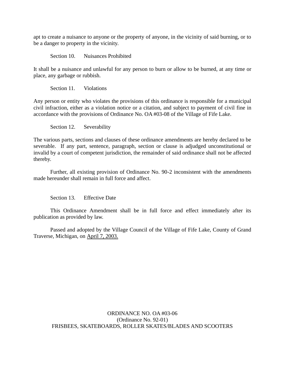apt to create a nuisance to anyone or the property of anyone, in the vicinity of said burning, or to be a danger to property in the vicinity.

Section 10. Nuisances Prohibited

It shall be a nuisance and unlawful for any person to burn or allow to be burned, at any time or place, any garbage or rubbish.

Section 11. Violations

Any person or entity who violates the provisions of this ordinance is responsible for a municipal civil infraction, either as a violation notice or a citation, and subject to payment of civil fine in accordance with the provisions of Ordinance No. OA #03-08 of the Village of Fife Lake.

Section 12. Severability

The various parts, sections and clauses of these ordinance amendments are hereby declared to be severable. If any part, sentence, paragraph, section or clause is adjudged unconstitutional or invalid by a court of competent jurisdiction, the remainder of said ordinance shall not be affected thereby.

Further, all existing provision of Ordinance No. 90-2 inconsistent with the amendments made hereunder shall remain in full force and affect.

Section 13. Effective Date

This Ordinance Amendment shall be in full force and effect immediately after its publication as provided by law.

Passed and adopted by the Village Council of the Village of Fife Lake, County of Grand Traverse, Michigan, on April 7, 2003.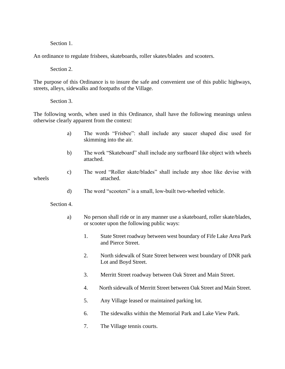Section 1.

An ordinance to regulate frisbees, skateboards, roller skates/blades and scooters.

Section 2.

The purpose of this Ordinance is to insure the safe and convenient use of this public highways, streets, alleys, sidewalks and footpaths of the Village.

Section 3.

The following words, when used in this Ordinance, shall have the following meanings unless otherwise clearly apparent from the context:

- a) The words "Frisbee": shall include any saucer shaped disc used for skimming into the air.
- b) The work "Skateboard" shall include any surfboard like object with wheels attached.
- c) The word "Roller skate/blades" shall include any shoe like devise with wheels attached.
	- d) The word "scooters" is a small, low-built two-wheeled vehicle.

Section 4.

- a) No person shall ride or in any manner use a skateboard, roller skate/blades, or scooter upon the following public ways:
	- 1. State Street roadway between west boundary of Fife Lake Area Park and Pierce Street.
	- 2. North sidewalk of State Street between west boundary of DNR park Lot and Boyd Street.
	- 3. Merritt Street roadway between Oak Street and Main Street.
	- 4. North sidewalk of Merritt Street between Oak Street and Main Street.
	- 5. Any Village leased or maintained parking lot.
	- 6. The sidewalks within the Memorial Park and Lake View Park.
	- 7. The Village tennis courts.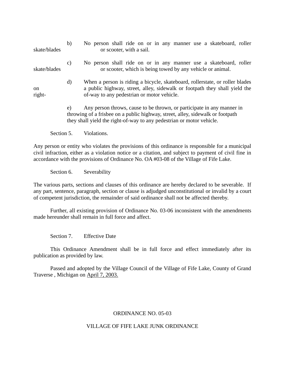b) No person shall ride on or in any manner use a skateboard, roller skate/blades or scooter, with a sail. c) No person shall ride on or in any manner use a skateboard, roller skate/blades or scooter, which is being towed by any vehicle or animal. d) When a person is riding a bicycle, skateboard, rollerstate, or roller blades on a public highway, street, alley, sidewalk or footpath they shall yield the right- of-way to any pedestrian or motor vehicle. e) Any person throws, cause to be thrown, or participate in any manner in throwing of a frisbee on a public highway, street, alley, sidewalk or footpath they shall yield the right-of-way to any pedestrian or motor vehicle.

Section 5. Violations.

Any person or entity who violates the provisions of this ordinance is responsible for a municipal civil infraction, either as a violation notice or a citation, and subject to payment of civil fine in accordance with the provisions of Ordinance No. OA #03-08 of the Village of Fife Lake.

Section 6. Severability

The various parts, sections and clauses of this ordinance are hereby declared to be severable. If any part, sentence, paragraph, section or clause is adjudged unconstitutional or invalid by a court of competent jurisdiction, the remainder of said ordinance shall not be affected thereby.

Further, all existing provision of Ordinance No. 03-06 inconsistent with the amendments made hereunder shall remain in full force and affect.

Section 7. Effective Date

This Ordinance Amendment shall be in full force and effect immediately after its publication as provided by law.

Passed and adopted by the Village Council of the Village of Fife Lake, County of Grand Traverse , Michigan on April 7, 2003.

#### ORDINANCE NO. 05-03

#### VILLAGE OF FIFE LAKE JUNK ORDINANCE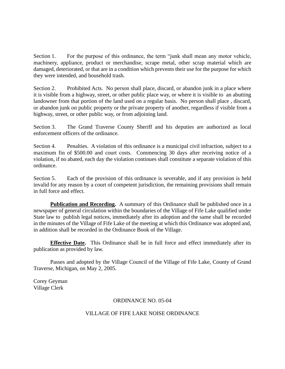Section 1. For the purpose of this ordinance, the term "junk shall mean any motor vehicle, machinery, appliance, product or merchandise, scrape metal, other scrap material which are damaged, deteriorated, or that are in a condition which prevents their use for the purpose for which they were intended, and household trash.

Section 2. Prohibited Acts. No person shall place, discard, or abandon junk in a place where it is visible from a highway, street, or other public place way, or where it is visible to an abutting landowner from that portion of the land used on a regular basis. No person shall place , discard, or abandon junk on public property or the private property of another, regardless if visible from a highway, street, or other public way, or from adjoining land.

Section 3. The Grand Traverse County Sheriff and his deputies are authorized as local enforcement officers of the ordinance.

Section 4. Penalties. A violation of this ordinance is a municipal civil infraction, subject to a maximum fin of \$500.00 and court costs. Commencing 30 days after receiving notice of a violation, if no abated, each day the violation continues shall constitute a separate violation of this ordinance.

Section 5. Each of the provision of this ordinance is severable, and if any provision is held invalid for any reason by a court of competent jurisdiction, the remaining provisions shall remain in full force and effect.

**Publication and Recording.** A summary of this Ordinance shall be published once in a newspaper of general circulation within the boundaries of the Village of Fife Lake qualified under State law to publish legal notices, immediately after its adoption and the same shall be recorded in the minutes of the Village of Fife Lake of the meeting at which this Ordinance was adopted and, in addition shall be recorded in the Ordinance Book of the Village.

**Effective Date.** This Ordinance shall be in full force and effect immediately after its publication as provided by law.

Passes and adopted by the Village Council of the Village of Fife Lake, County of Grand Traverse, Michigan, on May 2, 2005.

Corey Geyman Village Clerk

# ORDINANCE NO. 05-04

# VILLAGE OF FIFE LAKE NOISE ORDINANCE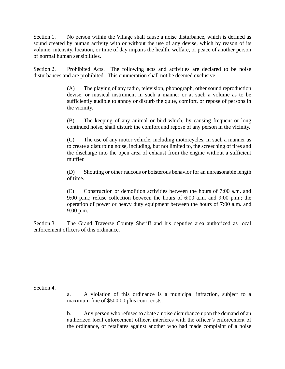Section 1. No person within the Village shall cause a noise disturbance, which is defined as sound created by human activity with or without the use of any devise, which by reason of its volume, intensity, location, or time of day impairs the health, welfare, or peace of another person of normal human sensibilities.

Section 2. Prohibited Acts. The following acts and activities are declared to be noise disturbances and are prohibited. This enumeration shall not be deemed exclusive.

> (A) The playing of any radio, television, phonograph, other sound reproduction devise, or musical instrument in such a manner or at such a volume as to be sufficiently audible to annoy or disturb the quite, comfort, or repose of persons in the vicinity.

> (B) The keeping of any animal or bird which, by causing frequent or long continued noise, shall disturb the comfort and repose of any person in the vicinity.

> (C) The use of any motor vehicle, including motorcycles, in such a manner as to create a disturbing noise, including, but not limited to, the screeching of tires and the discharge into the open area of exhaust from the engine without a sufficient muffler.

> (D) Shouting or other raucous or boisterous behavior for an unreasonable length of time.

> (E) Construction or demolition activities between the hours of 7:00 a.m. and 9:00 p.m.; refuse collection between the hours of 6:00 a.m. and 9:00 p.m.; the operation of power or heavy duty equipment between the hours of 7:00 a.m. and 9:00 p.m.

Section 3. The Grand Traverse County Sheriff and his deputies area authorized as local enforcement officers of this ordinance.

Section 4.

a. A violation of this ordinance is a municipal infraction, subject to a maximum fine of \$500.00 plus court costs.

b. Any person who refuses to abate a noise disturbance upon the demand of an authorized local enforcement officer, interferes with the officer's enforcement of the ordinance, or retaliates against another who had made complaint of a noise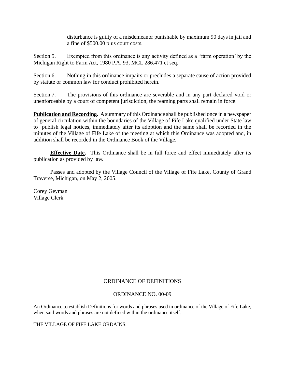disturbance is guilty of a misdemeanor punishable by maximum 90 days in jail and a fine of \$500.00 plus court costs.

Section 5. Exempted from this ordinance is any activity defined as a "farm operation' by the Michigan Right to Farm Act, 1980 P.A. 93, MCL 286.471 et seq.

Section 6. Nothing in this ordinance impairs or precludes a separate cause of action provided by statute or common law for conduct prohibited herein.

Section 7. The provisions of this ordinance are severable and in any part declared void or unenforceable by a court of competent jurisdiction, the reaming parts shall remain in force.

**Publication and Recording.** A summary of this Ordinance shall be published once in a newspaper of general circulation within the boundaries of the Village of Fife Lake qualified under State law to publish legal notices, immediately after its adoption and the same shall be recorded in the minutes of the Village of Fife Lake of the meeting at which this Ordinance was adopted and, in addition shall be recorded in the Ordinance Book of the Village.

**Effective Date.** This Ordinance shall be in full force and effect immediately after its publication as provided by law.

Passes and adopted by the Village Council of the Village of Fife Lake, County of Grand Traverse, Michigan, on May 2, 2005.

Corey Geyman Village Clerk

# ORDINANCE OF DEFINITIONS

## ORDINANCE NO. 00-09

An Ordinance to establish Definitions for words and phrases used in ordinance of the Village of Fife Lake, when said words and phrases are not defined within the ordinance itself.

THE VILLAGE OF FIFE LAKE ORDAINS: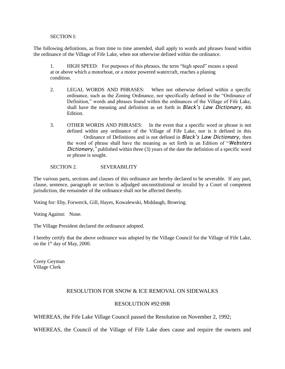#### SECTION I:

The following definitions, as from time to time amended, shall apply to words and phrases found within the ordinance of the Village of Fife Lake, when not otherwise defined within the ordinance.

1. HIGH SPEED: For purposes of this phrases, the term "high speed" means a speed at or above which a motorboat, or a motor powered watercraft, reaches a planing condition.

- 2. LEGAL WORDS AND PHRASES: When not otherwise defined within a specific ordinance, such as the Zoning Ordinance, nor specifically defined in the "Ordinance of Definition," words and phrases found within the ordinances of the Village of Fife Lake, shall have the meaning and definition as set forth in *Black's Law Dictionary,* 4th Edition.
- 3. OTHER WORDS AND PHRASES: In the event that a specific word or phrase is not defined within any ordinance of the Village of Fife Lake, nor is it defined in this Ordinance of Definitions and is not defined in *Black's Law Dictionary,* then the word of phrase shall have the meaning as set forth in an Edition of "*Websters Dictionary*," published within three (3) years of the date the definition of a specific word or phrase is sought.

#### SECTION 2. SEVERABILITY

The various parts, sections and clauses of this ordinance are hereby declared to be severable. If any part, clause, sentence, paragraph or section is adjudged unconstitutional or invalid by a Court of competent jurisdiction, the remainder of the ordinance shall not be affected thereby.

Voting for: Eby, Forwerck, Gill, Hayes, Kowalewski, Middaugh, Broering.

Voting Against: None.

The Village President declared the ordinance adopted.

I hereby certify that the above ordinance was adopted by the Village Council for the Village of Fife Lake, on the 1st day of May, 2000.

Corey Geyman Village Clerk

## RESOLUTION FOR SNOW & ICE REMOVAL ON SIDEWALKS

#### RESOLUTION #92:09R

WHEREAS, the Fife Lake Village Council passed the Resolution on November 2, 1992;

WHEREAS, the Council of the Village of Fife Lake does cause and require the owners and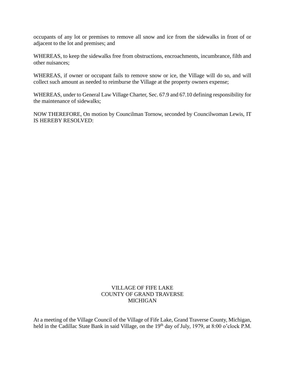occupants of any lot or premises to remove all snow and ice from the sidewalks in front of or adjacent to the lot and premises; and

WHEREAS, to keep the sidewalks free from obstructions, encroachments, incumbrance, filth and other nuisances;

WHEREAS, if owner or occupant fails to remove snow or ice, the Village will do so, and will collect such amount as needed to reimburse the Village at the property owners expense;

WHEREAS, under to General Law Village Charter, Sec. 67.9 and 67.10 defining responsibility for the maintenance of sidewalks;

NOW THEREFORE, On motion by Councilman Tornow, seconded by Councilwoman Lewis, IT IS HEREBY RESOLVED:

## VILLAGE OF FIFE LAKE COUNTY OF GRAND TRAVERSE MICHIGAN

At a meeting of the Village Council of the Village of Fife Lake, Grand Traverse County, Michigan, held in the Cadillac State Bank in said Village, on the 19<sup>th</sup> day of July, 1979, at 8:00 o'clock P.M.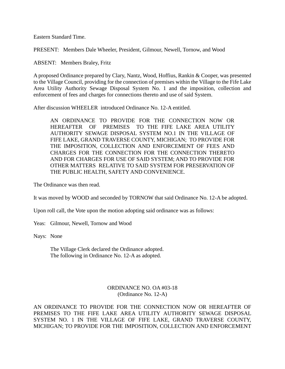Eastern Standard Time.

PRESENT: Members Dale Wheeler, President, Gilmour, Newell, Tornow, and Wood

ABSENT: Members Braley, Fritz

A proposed Ordinance prepared by Clary, Nantz, Wood, Hoffius, Rankin & Cooper, was presented to the Village Council, providing for the connection of premises within the Village to the Fife Lake Area Utility Authority Sewage Disposal System No. 1 and the imposition, collection and enforcement of fees and charges for connections thereto and use of said System.

After discussion WHEELER introduced Ordinance No. 12-A entitled.

AN ORDINANCE TO PROVIDE FOR THE CONNECTION NOW OR HEREAFTER OF PREMISES TO THE FIFE LAKE AREA UTILITY AUTHORITY SEWAGE DISPOSAL SYSTEM NO.1 IN THE VILLAGE OF FIFE LAKE, GRAND TRAVERSE COUNTY, MICHIGAN; TO PROVIDE FOR THE IMPOSITION, COLLECTION AND ENFORCEMENT OF FEES AND CHARGES FOR THE CONNECTION FOR THE CONNECTION THERETO AND FOR CHARGES FOR USE OF SAID SYSTEM; AND TO PROVIDE FOR OTHER MATTERS RELATIVE TO SAID SYSTEM FOR PRESERVATION OF THE PUBLIC HEALTH, SAFETY AND CONVENIENCE.

The Ordinance was then read.

It was moved by WOOD and seconded by TORNOW that said Ordinance No. 12-A be adopted.

Upon roll call, the Vote upon the motion adopting said ordinance was as follows:

Yeas: Gilmour, Newell, Tornow and Wood

Nays: None

The Village Clerk declared the Ordinance adopted. The following in Ordinance No. 12-A as adopted.

> ORDINANCE NO. OA #03-18 (Ordinance No. 12-A)

AN ORDINANCE TO PROVIDE FOR THE CONNECTION NOW OR HEREAFTER OF PREMISES TO THE FIFE LAKE AREA UTILITY AUTHORITY SEWAGE DISPOSAL SYSTEM NO. 1 IN THE VILLAGE OF FIFE LAKE, GRAND TRAVERSE COUNTY, MICHIGAN; TO PROVIDE FOR THE IMPOSITION, COLLECTION AND ENFORCEMENT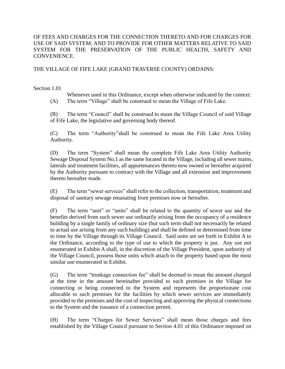# OF FEES AND CHARGES FOR THE CONNECTION THERETO AND FOR CHARGES FOR USE OF SAID SYSTEM; AND TO PROVIDE FOR OTHER MATTERS RELATIVE TO SAID SYSTEM FOR THE PRESERVATION OF THE PUBLIC HEALTH, SAFETY AND CONVENIENCE.

# THE VILLAGE OF FIFE LAKE (GRAND TRAVERSE COUNTY) ORDAINS:

#### Section 1.01

Whenever used in this Ordinance, except when otherwise indicated by the context: (A) The term "Village" shall be construed to mean the Village of Fife Lake.

(B) The term "Council" shall be construed to mean the Village Council of said Village of Fife Lake, the legislative and governing body thereof.

(C) The term "Authority"shall be construed to mean the Fife Lake Area Utility Authority.

(D) The term "System" shall mean the complete Fife Lake Area Utility Authority Sewage Disposal System No.1 as the same located in the Village, including all sewer mains, laterals and treatment facilities, all appurtenances thereto now owned or hereafter acquired by the Authority pursuant to contract with the Village and all extension and improvement thereto hereafter made.

(E) The term "sewer services" shall refer to the collection, transportation, treatment and disposal of sanitary sewage emanating from premises now or hereafter.

(F) The term "unit" or "units" shall be related to the quantity of sewer use and the benefits derived from such sewer use ordinarily arising from the occupancy of a residence building by a single family of ordinary size (but such term shall not necessarily be related to actual use arising from any such building) and shall be defined or determined from time to time by the Village through its Village Council. Said units are set forth in Exhibit A to the Ordinance, according to the type of use to which the property is put. Any use not enumerated in Exhibit A shall, in the discretion of the Village President, upon authority of the Village Council, possess those units which attach to the property based upon the most similar use enumerated in Exhibit.

(G) The term "trunkage connection fee" shall be deemed to mean the amount charged at the time in the amount hereinafter provided to each premises in the Village for connecting or being connected to the System and represents the proportionate cost allocable to such premises for the facilities by which sewer services are immediately provided to the premises and the cost of inspecting and approving the physical connections to the System and the issuance of a connection permit.

(H) The term "Charges for Sewer Services" shall mean those charges and fees established by the Village Council pursuant to Section 4.01 of this Ordinance imposed on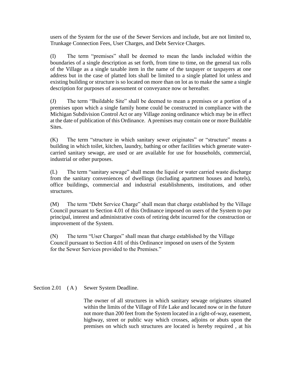users of the System for the use of the Sewer Services and include, but are not limited to, Trunkage Connection Fees, User Charges, and Debt Service Charges.

(I) The term "premises" shall be deemed to mean the lands included within the boundaries of a single description as set forth, from time to time, on the general tax rolls of the Village as a single taxable item in the name of the taxpayer or taxpayers at one address but in the case of platted lots shall be limited to a single platted lot unless and existing building or structure is so located on more than on lot as to make the same a single description for purposes of assessment or conveyance now or hereafter.

(J) The term "Buildable Site" shall be deemed to mean a premises or a portion of a premises upon which a single family home could be constructed in compliance with the Michigan Subdivision Control Act or any Village zoning ordinance which may be in effect at the date of publication of this Ordinance. A premises may contain one or more Buildable Sites.

(K) The term "structure in which sanitary sewer originates" or "structure" means a building in which toilet, kitchen, laundry, bathing or other facilities which generate watercarried sanitary sewage, are used or are available for use for households, commercial, industrial or other purposes.

(L) The term "sanitary sewage" shall mean the liquid or water carried waste discharge from the sanitary conveniences of dwellings (including apartment houses and hotels), office buildings, commercial and industrial establishments, institutions, and other structures.

(M) The term "Debt Service Charge" shall mean that charge established by the Village Council pursuant to Section 4.01 of this Ordinance imposed on users of the System to pay principal, interest and administrative costs of retiring debt incurred for the construction or improvement of the System.

(N) The term "User Charges" shall mean that charge established by the Village Council pursuant to Section 4.01 of this Ordinance imposed on users of the System for the Sewer Services provided to the Premises."

Section 2.01 (A) Sewer System Deadline.

The owner of all structures in which sanitary sewage originates situated within the limits of the Village of Fife Lake and located now or in the future not more than 200 feet from the System located in a right-of-way, easement, highway, street or public way which crosses, adjoins or abuts upon the premises on which such structures are located is hereby required , at his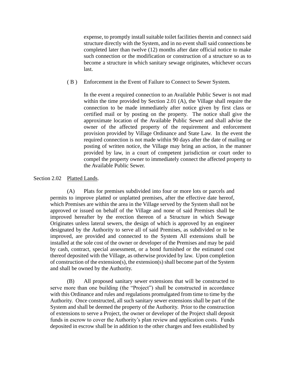expense, to promptly install suitable toilet facilities therein and connect said structure directly with the System, and in no event shall said connections be completed later than twelve (12) months after date official notice to make such connection or the modification or construction of a structure so as to become a structure in which sanitary sewage originates, whichever occurs last.

( B ) Enforcement in the Event of Failure to Connect to Sewer System.

In the event a required connection to an Available Public Sewer is not mad within the time provided by Section 2.01 (A), the Village shall require the connection to be made immediately after notice given by first class or certified mail or by posting on the property. The notice shall give the approximate location of the Available Public Sewer and shall advise the owner of the affected property of the requirement and enforcement provision provided by Village Ordinance and State Law. In the event the required connection is not made within 90 days after the date of mailing or posting of written notice, the Village may bring an action, in the manner provided by law, in a court of competent jurisdiction or court order to compel the property owner to immediately connect the affected property to the Available Public Sewer.

#### Section 2.02 Platted Lands.

(A) Plats for premises subdivided into four or more lots or parcels and permits to improve platted or unplatted premises, after the effective date hereof, which Premises are within the area in the Village served by the System shall not be approved or issued on behalf of the Village and none of said Premises shall be improved hereafter by the erection thereon of a Structure in which Sewage Originates unless lateral sewers, the design of which is approved by an engineer designated by the Authority to serve all of said Premises, as subdivided or to be improved, are provided and connected to the System All extensions shall be installed at the sole cost of the owner or developer of the Premises and may be paid by cash, contract, special assessment, or a bond furnished or the estimated cost thereof deposited with the Village, as otherwise provided by law. Upon completion of construction of the extension(s), the extension(s) shall become part of the System and shall be owned by the Authority.

(B) All proposed sanitary sewer extensions that will be constructed to serve more than one building (the "Project") shall be constructed in accordance with this Ordinance and rules and regulations promulgated from time to time by the Authority. Once constructed, all such sanitary sewer extensions shall be part of the System and shall be deemed the property of the Authority. Prior to the construction of extensions to serve a Project, the owner or developer of the Project shall deposit funds in escrow to cover the Authority's plan review and application costs. Funds deposited in escrow shall be in addition to the other charges and fees established by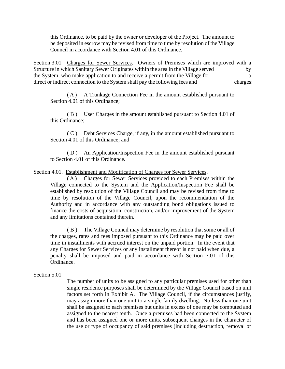this Ordinance, to be paid by the owner or developer of the Project. The amount to be deposited in escrow may be revised from time to time by resolution of the Village Council in accordance with Section 4.01 of this Ordinance.

Section 3.01 Charges for Sewer Services. Owners of Premises which are improved with a Structure in which Sanitary Sewer Originates within the area in the Village served by the System, who make application to and receive a permit from the Village for a direct or indirect connection to the System shall pay the following fees and charges:

( A ) A Trunkage Connection Fee in the amount established pursuant to Section 4.01 of this Ordinance;

( B ) User Charges in the amount established pursuant to Section 4.01 of this Ordinance;

( C ) Debt Services Charge, if any, in the amount established pursuant to Section 4.01 of this Ordinance; and

( D ) An Application/Inspection Fee in the amount established pursuant to Section 4.01 of this Ordinance.

Section 4.01. Establishment and Modification of Charges for Sewer Services.

( A ) Charges for Sewer Services provided to each Premises within the Village connected to the System and the Application/Inspection Fee shall be established by resolution of the Village Council and may be revised from time to time by resolution of the Village Council, upon the recommendation of the Authority and in accordance with any outstanding bond obligations issued to finance the costs of acquisition, construction, and/or improvement of the System and any limitations contained therein.

( B ) The Village Council may determine by resolution that some or all of the charges, rates and fees imposed pursuant to this Ordinance may be paid over time in installments with accrued interest on the unpaid portion. In the event that any Charges for Sewer Services or any installment thereof is not paid when due, a penalty shall be imposed and paid in accordance with Section 7.01 of this Ordinance.

Section 5.01

The number of units to be assigned to any particular premises used for other than single residence purposes shall be determined by the Village Council based on unit factors set forth in Exhibit A. The Village Council, if the circumstances justify, may assign more than one unit to a single family dwelling. No less than one unit shall be assigned to each premises but units in excess of one may be computed and assigned to the nearest tenth. Once a premises had been connected to the System and has been assigned one or more units, subsequent changes in the character of the use or type of occupancy of said premises (including destruction, removal or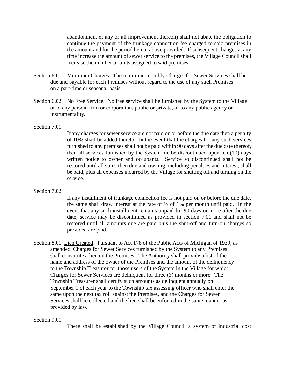abandonment of any or all improvement thereon) shall not abate the obligation to continue the payment of the trunkage connection fee charged to said premises in the amount and for the period herein above provided. If subsequent changes at any time increase the amount of sewer service to the premises, the Village Council shall increase the number of units assigned to said premises.

- Section 6.01. Minimum Charges. The minimum monthly Charges for Sewer Services shall be due and payable for each Premises without regard to the use of any such Premises on a part-time or seasonal basis.
- Section 6.02 No Free Service. No free service shall be furnished by the System to the Village or to any person, firm or corporation, public or private, or to any public agency or instrumentality.

#### Section 7.01

If any charges for sewer service are not paid on or before the due date then a penalty of 10% shall be added thereto. In the event that the charges for any such services furnished to any premises shall not be paid within 90 days after the due date thereof, then all services furnished by the System me be discontinued upon ten (10) days written notice to owner and occupants. Service so discontinued shall not be restored until all sums then due and owning, including penalties and interest, shall be paid, plus all expenses incurred by the Village for shutting off and turning on the service.

## Section 7.02

If any installment of trunkage connection fee is not paid on or before the due date, the same shall draw interest at the rate of ½ of 1% per month until paid. In the event that any such installment remains unpaid for 90 days or more after the due date, service may be discontinued as provided in section 7.01 and shall not be restored until all amounts due are paid plus the shut-off and turn-on charges so provided are paid.

Section 8.01 Lien Created. Pursuant to Act 178 of the Public Acts of Michigan of 1939, as amended, Charges for Sewer Services furnished by the System to any Premises shall constitute a lien on the Premises. The Authority shall provide a list of the name and address of the owner of the Premises and the amount of the delinquency to the Township Treasurer for those users of the System in the Village for which Charges for Sewer Services are delinquent for three (3) months or more. The Township Treasurer shall certify such amounts as delinquent annually on September 1 of each year to the Township tax assessing officer who shall enter the same upon the next tax roll against the Premises, and the Charges for Sewer Services shall be collected and the lien shall be enforced in the same manner as provided by law.

#### Section 9.01

There shall be established by the Village Council, a system of industrial cost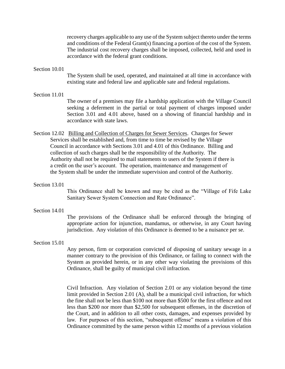recovery charges applicable to any use of the System subject thereto under the terms and conditions of the Federal Grant(s) financing a portion of the cost of the System. The industrial cost recovery charges shall be imposed, collected, held and used in accordance with the federal grant conditions.

#### Section 10.01

The System shall be used, operated, and maintained at all time in accordance with existing state and federal law and applicable sate and federal regulations.

#### Section 11.01

The owner of a premises may file a hardship application with the Village Council seeking a deferment in the partial or total payment of charges imposed under Section 3.01 and 4.01 above, based on a showing of financial hardship and in accordance with state laws.

- Section 12.02 Billing and Collection of Charges for Sewer Services. Charges for Sewer Services shall be established and, from time to time be revised by the Village Council in accordance with Sections 3.01 and 4.01 of this Ordinance. Billing and collection of such charges shall be the responsibility of the Authority. The Authority shall not be required to mail statements to users of the System if there is a credit on the user's account. The operation, maintenance and management of the System shall be under the immediate supervision and control of the Authority.
- Section 13.01

This Ordinance shall be known and may be cited as the "Village of Fife Lake Sanitary Sewer System Connection and Rate Ordinance".

#### Section 14.01

The provisions of the Ordinance shall be enforced through the bringing of appropriate action for injunction, mandamus, or otherwise, in any Court having jurisdiction. Any violation of this Ordinance is deemed to be a nuisance per se.

Section 15.01

Any person, firm or corporation convicted of disposing of sanitary sewage in a manner contrary to the provision of this Ordinance, or failing to connect with the System as provided herein, or in any other way violating the provisions of this Ordinance, shall be guilty of municipal civil infraction.

Civil Infraction. Any violation of Section 2.01 or any violation beyond the time limit provided in Section 2.01 (A), shall be a municipal civil infraction, for which the fine shall not be less than \$100 not more than \$500 for the first offence and not less than \$200 nor more than \$2,500 for subsequent offenses, in the discretion of the Court, and in addition to all other costs, damages, and expenses provided by law. For purposes of this section, "subsequent offense" means a violation of this Ordinance committed by the same person within 12 months of a previous violation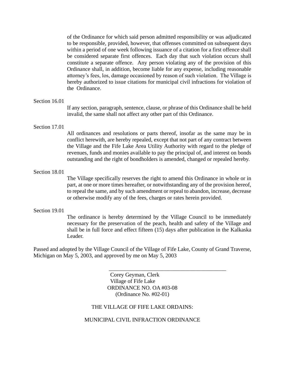of the Ordinance for which said person admitted responsibility or was adjudicated to be responsible, provided, however, that offenses committed on subsequent days within a period of one week following issuance of a citation for a first offence shall be considered separate first offences. Each day that such violation occurs shall constitute a separate offence. Any person violating any of the provision of this Ordinance shall, in addition, become liable for any expense, including reasonable attorney's fees, los, damage occasioned by reason of such violation. The Village is hereby authorized to issue citations for municipal civil infractions for violation of the Ordinance.

#### Section 16.01

If any section, paragraph, sentence, clause, or phrase of this Ordinance shall be held invalid, the same shall not affect any other part of this Ordinance.

#### Section 17.01

All ordinances and resolutions or parts thereof, insofar as the same may be in conflict herewith, are hereby repealed, except that not part of any contract between the Village and the Fife Lake Area Utility Authority with regard to the pledge of revenues, funds and monies available to pay the principal of, and interest on bonds outstanding and the right of bondholders is amended, changed or repealed hereby.

#### Section 18.01

The Village specifically reserves the right to amend this Ordinance in whole or in part, at one or more times hereafter, or notwithstanding any of the provision hereof, to repeal the same, and by such amendment or repeal to abandon, increase, decrease or otherwise modify any of the fees, charges or rates herein provided.

#### Section 19.01

The ordinance is hereby determined by the Village Council to be immediately necessary for the preservation of the peach, health and safety of the Village and shall be in full force and effect fifteen (15) days after publication in the Kalkaska Leader.

 $\overline{\phantom{a}}$  , which is a set of the set of the set of the set of the set of the set of the set of the set of the set of the set of the set of the set of the set of the set of the set of the set of the set of the set of th

Passed and adopted by the Village Council of the Village of Fife Lake, County of Grand Traverse, Michigan on May 5, 2003, and approved by me on May 5, 2003

> Corey Geyman, Clerk Village of Fife Lake ORDINANCE NO. OA #03-08 (Ordinance No. #02-01)

#### THE VILLAGE OF FIFE LAKE ORDAINS:

MUNICIPAL CIVIL INFRACTION ORDINANCE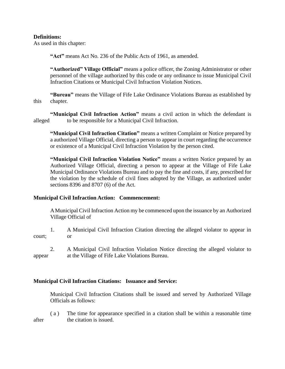# **Definitions:**

As used in this chapter:

**"Act"** means Act No. 236 of the Public Acts of 1961, as amended.

**"Authorized" Village Official"** means a police officer, the Zoning Administrator or other personnel of the village authorized by this code or any ordinance to issue Municipal Civil Infraction Citations or Municipal Civil Infraction Violation Notices.

**"Bureau"** means the Village of Fife Lake Ordinance Violations Bureau as established by this chapter.

**"Municipal Civil Infraction Action"** means a civil action in which the defendant is alleged to be responsible for a Municipal Civil Infraction.

**"Municipal Civil Infraction Citation"** means a written Complaint or Notice prepared by a authorized Village Official, directing a person to appear in court regarding the occurrence or existence of a Municipal Civil Infraction Violation by the person cited.

**"Municipal Civil Infraction Violation Notice"** means a written Notice prepared by an Authorized Village Official, directing a person to appear at the Village of Fife Lake Municipal Ordinance Violations Bureau and to pay the fine and costs, if any, prescribed for the violation by the schedule of civil fines adopted by the Village, as authorized under sections 8396 and 8707 (6) of the Act.

## **Municipal Civil Infraction Action: Commencement:**

A Municipal Civil Infraction Action my be commenced upon the issuance by an Authorized Village Official of

1. A Municipal Civil Infraction Citation directing the alleged violator to appear in court; or

2. A Municipal Civil Infraction Violation Notice directing the alleged violator to appear at the Village of Fife Lake Violations Bureau.

## **Municipal Civil Infraction Citations: Issuance and Service:**

Municipal Civil Infraction Citations shall be issued and served by Authorized Village Officials as follows:

( a ) The time for appearance specified in a citation shall be within a reasonable time after the citation is issued.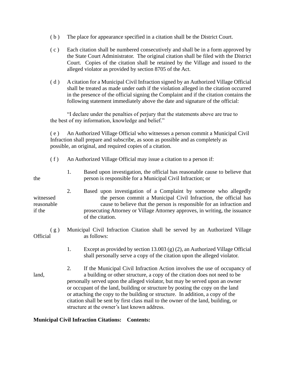- ( b ) The place for appearance specified in a citation shall be the District Court.
- ( c ) Each citation shall be numbered consecutively and shall be in a form approved by the State Court Administrator. The original citation shall be filed with the District Court. Copies of the citation shall be retained by the Village and issued to the alleged violator as provided by section 8705 of the Act.
- ( d ) A citation for a Municipal Civil Infraction signed by an Authorized Village Official shall be treated as made under oath if the violation alleged in the citation occurred in the presence of the official signing the Complaint and if the citation contains the following statement immediately above the date and signature of the official:

"I declare under the penalties of perjury that the statements above are true to the best of my information, knowledge and belief."

( e ) An Authorized Village Official who witnesses a person commit a Municipal Civil Infraction shall prepare and subscribe, as soon as possible and as completely as possible, an original, and required copies of a citation.

| (f)                               | An Authorized Village Official may issue a citation to a person if:                                                                                                                                                                                                                                                                                                                                                                                                                                                                                   |  |
|-----------------------------------|-------------------------------------------------------------------------------------------------------------------------------------------------------------------------------------------------------------------------------------------------------------------------------------------------------------------------------------------------------------------------------------------------------------------------------------------------------------------------------------------------------------------------------------------------------|--|
| the                               | Based upon investigation, the official has reasonable cause to believe that<br>1.<br>person is responsible for a Municipal Civil Infraction; or                                                                                                                                                                                                                                                                                                                                                                                                       |  |
| witnessed<br>reasonable<br>if the | 2.<br>Based upon investigation of a Complaint by someone who allegedly<br>the person commit a Municipal Civil Infraction, the official has<br>cause to believe that the person is responsible for an infraction and<br>prosecuting Attorney or Village Attorney approves, in writing, the issuance<br>of the citation.                                                                                                                                                                                                                                |  |
| (g)<br>Official                   | Municipal Civil Infraction Citation shall be served by an Authorized Village<br>as follows:                                                                                                                                                                                                                                                                                                                                                                                                                                                           |  |
|                                   | Except as provided by section 13.003 (g) (2), an Authorized Village Official<br>1.<br>shall personally serve a copy of the citation upon the alleged violator.                                                                                                                                                                                                                                                                                                                                                                                        |  |
| land,                             | If the Municipal Civil Infraction Action involves the use of occupancy of<br>2.<br>a building or other structure, a copy of the citation does not need to be<br>personally served upon the alleged violator, but may be served upon an owner<br>or occupant of the land, building or structure by posting the copy on the land<br>or attaching the copy to the building or structure. In addition, a copy of the<br>citation shall be sent by first class mail to the owner of the land, building, or<br>structure at the owner's last known address. |  |

## **Municipal Civil Infraction Citations: Contents:**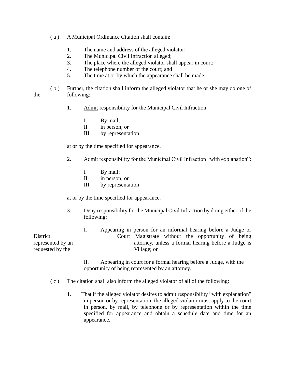- ( a ) A Municipal Ordinance Citation shall contain:
	- 1. The name and address of the alleged violator;
	- 2. The Municipal Civil Infraction alleged;
	- 3. The place where the alleged violator shall appear in court;
	- 4. The telephone number of the court; and
	- 5. The time at or by which the appearance shall be made.
- ( b ) Further, the citation shall inform the alleged violator that he or she may do one of the following:
	- 1. Admit responsibility for the Municipal Civil Infraction:
		- I By mail;
		- II in person; or
		- III by representation

at or by the time specified for appearance.

- 2. Admit responsibility for the Municipal Civil Infraction "with explanation":
	- I By mail;
	- II in person; or
	- III by representation

at or by the time specified for appearance.

3. Deny responsibility for the Municipal Civil Infraction by doing either of the following:

I. Appearing in person for an informal hearing before a Judge or District Court Magistrate without the opportunity of being represented by an attorney, unless a formal hearing before a Judge is requested by the Village; or

> II. Appearing in court for a formal hearing before a Judge, with the opportunity of being represented by an attorney.

- $(c)$  The citation shall also inform the alleged violator of all of the following:
	- 1. That if the alleged violator desires to admit responsibility "with explanation" in person or by representation, the alleged violator must apply to the court in person, by mail, by telephone or by representation within the time specified for appearance and obtain a schedule date and time for an appearance.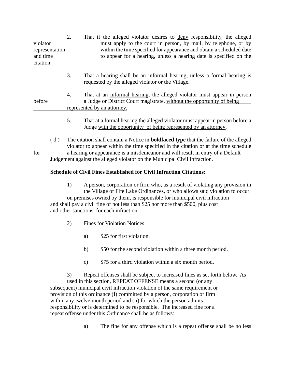| violator<br>representation<br>and time<br>citation. | 2. | That if the alleged violator desires to deny responsibility, the alleged<br>must apply to the court in person, by mail, by telephone, or by<br>within the time specified for appearance and obtain a scheduled date<br>to appear for a hearing, unless a hearing date is specified on the |  |
|-----------------------------------------------------|----|-------------------------------------------------------------------------------------------------------------------------------------------------------------------------------------------------------------------------------------------------------------------------------------------|--|
|                                                     | 3. | That a hearing shall be an informal hearing, unless a formal hearing is<br>requested by the alleged violator or the Village.                                                                                                                                                              |  |
| before                                              | 4. | That at an informal hearing, the alleged violator must appear in person<br>a Judge or District Court magistrate, without the opportunity of being<br>represented by an attorney.                                                                                                          |  |
|                                                     | 5. | That at a formal hearing the alleged violator must appear in person before a<br>Judge with the opportunity of being represented by an attorney.                                                                                                                                           |  |
| (d)<br>for                                          |    | The citation shall contain a Notice in <b>boldfaced type</b> that the failure of the alleged<br>violator to appear within the time specified in the citation or at the time schedule<br>a hearing or appearance is a misdemeanor and will result in entry of a Default                    |  |

Judgement against the alleged violator on the Municipal Civil Infraction.

# **Schedule of Civil Fines Established for Civil Infraction Citations:**

1) A person, corporation or firm who, as a result of violating any provision in the Village of Fife Lake Ordinances, or who allows said violation to occur on premises owned by them, is responsible for municipal civil infraction and shall pay a civil fine of not less than \$25 nor more than \$500, plus cost and other sanctions, for each infraction.

- 2) Fines for Violation Notices.
	- a) \$25 for first violation.
	- b) \$50 for the second violation within a three month period.
	- c) \$75 for a third violation within a six month period.

3) Repeat offenses shall be subject to increased fines as set forth below. As used in this section, REPEAT OFFENSE means a second (or any subsequent) municipal civil infraction violation of the same requirement or provision of this ordinance (I) committed by a person, corporation or firm within any twelve month period and (ii) for which the person admits responsibility or is determined to be responsible. The increased fine for a repeat offense under this Ordinance shall be as follows:

a) The fine for any offense which is a repeat offense shall be no less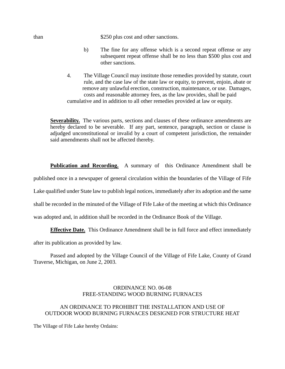than \$250 plus cost and other sanctions.

- b) The fine for any offense which is a second repeat offense or any subsequent repeat offense shall be no less than \$500 plus cost and other sanctions.
- 4. The Village Council may institute those remedies provided by statute, court rule, and the case law of the state law or equity, to prevent, enjoin, abate or remove any unlawful erection, construction, maintenance, or use. Damages, costs and reasonable attorney fees, as the law provides, shall be paid cumulative and in addition to all other remedies provided at law or equity.

**Severability.** The various parts, sections and clauses of these ordinance amendments are hereby declared to be severable. If any part, sentence, paragraph, section or clause is adjudged unconstitutional or invalid by a court of competent jurisdiction, the remainder said amendments shall not be affected thereby.

**Publication and Recording.** A summary of this Ordinance Amendment shall be

published once in a newspaper of general circulation within the boundaries of the Village of Fife

Lake qualified under State law to publish legal notices, immediately after its adoption and the same

shall be recorded in the minuted of the Village of Fife Lake of the meeting at which this Ordinance

was adopted and, in addition shall be recorded in the Ordinance Book of the Village.

**Effective Date.** This Ordinance Amendment shall be in full force and effect immediately

after its publication as provided by law.

Passed and adopted by the Village Council of the Village of Fife Lake, County of Grand Traverse, Michigan, on June 2, 2003.

## ORDINANCE NO. 06-08 FREE-STANDING WOOD BURNING FURNACES

## AN ORDINANCE TO PROHIBIT THE INSTALLATION AND USE OF OUTDOOR WOOD BURNING FURNACES DESIGNED FOR STRUCTURE HEAT

The Village of Fife Lake hereby Ordains: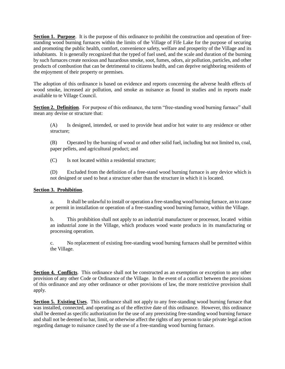**Section 1. Purpose**. It is the purpose of this ordinance to prohibit the construction and operation of freestanding wood burning furnaces within the limits of the Village of Fife Lake for the purpose of securing and promoting the public health, comfort, convenience safety, welfare and prosperity of the Village and its inhabitants. It is generally recognized that the typed of fuel used, and the scale and duration of the burning by such furnaces create noxious and hazardous smoke, soot, fumes, odors, air pollution, particles, and other products of combustion that can be detrimental to citizens health, and can deprive neighboring residents of the enjoyment of their property or premises.

The adoption of this ordinance is based on evidence and reports concerning the adverse health effects of wood smoke, increased air pollution, and smoke as nuisance as found in studies and in reports made available to te Village Council.

**Section 2. Definition**. For purpose of this ordinance, the term "free-standing wood burning furnace" shall mean any devise or structure that:

(A) Is designed, intended, or used to provide heat and/or hot water to any residence or other structure;

(B) Operated by the burning of wood or and other solid fuel, including but not limited to, coal, paper pellets, and agricultural product; and

(C) Is not located within a residential structure;

(D) Excluded from the definition of a free-stand wood burning furnace is any device which is not designed or used to heat a structure other than the structure in which it is located.

#### **Section 3. Prohibition**.

a. It shall be unlawful to install or operation a free-standing wood burning furnace, an to cause or permit in installation or operation of a free-standing wood burning furnace, within the Village.

b. This prohibition shall not apply to an industrial manufacturer or processor, located within an industrial zone in the Village, which produces wood waste products in its manufacturing or processing operation.

c. No replacement of existing free-standing wood burning furnaces shall be permitted within the Village.

**Section 4. Conflicts**. This ordinance shall not be constructed as an exemption or exception to any other provision of any other Code or Ordinance of the Village. In the event of a conflict between the provisions of this ordinance and any other ordinance or other provisions of law, the more restrictive provision shall apply.

**Section 5. Existing Uses**. This ordinance shall not apply to any free-standing wood burning furnace that was installed, connected, and operating as of the effective date of this ordinance. However, this ordinance shall be deemed as specific authorization for the use of any preexisting free-standing wood burning furnace and shall not be deemed to bar, limit, or otherwise affect the rights of any person to take private legal action regarding damage to nuisance cased by the use of a free-standing wood burning furnace.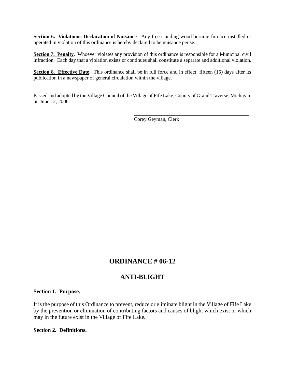**Section 6. Violations; Declaration of Nuisance**. Any free-standing wood burning furnace installed or operated in violation of this ordinance is hereby declared to be nuisance per se.

**Section 7. Penalty**. Whoever violates any provision of this ordinance is responsible for a Municipal civil infraction. Each day that a violation exists or continues shall constitute a separate and additional violation.

**Section 8. Effective Date**. This ordinance shall be in full force and in effect fifteen (15) days after its publication in a newspaper of general circulation within the village.

Passed and adopted by the Village Council of the Village of Fife Lake, County of Grand Traverse, Michigan, on June 12, 2006.

Corey Geyman, Clerk

\_\_\_\_\_\_\_\_\_\_\_\_\_\_\_\_\_\_\_\_\_\_\_\_\_\_\_\_\_\_\_\_\_\_\_\_\_\_\_\_\_\_\_\_\_

# **ORDINANCE # 06-12**

# **ANTI-BLIGHT**

#### **Section 1. Purpose.**

It is the purpose of this Ordinance to prevent, reduce or eliminate blight in the Village of Fife Lake by the prevention or elimination of contributing factors and causes of blight which exist or which may in the future exist in the Village of Fife Lake.

#### **Section 2. Definitions.**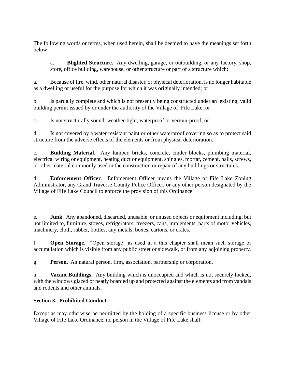The following words or terms, when used herein, shall be deemed to have the meanings set forth below:

a. **Blighted Structure.** Any dwelling, garage, or outbuilding, or any factory, shop, store, office building, warehouse, or other structure or part of a structure which:

a. Because of fire, wind, other natural disaster, or physical deterioration, is no longer habitable as a dwelling or useful for the purpose for which it was originally intended; or

b. Is partially complete and which is not presently being constructed under an existing, valid building permit issued by or under the authority of the Village of Fife Lake; or

c. Is not structurally sound, weather-tight, waterproof or vermin-proof; or

d. Is not covered by a water resistant paint or other waterproof covering so as to protect said structure from the adverse effects of the elements or from physical deterioration.

c. **Building Material**. Any lumber, bricks, concrete, cinder blocks, plumbing material, electrical wiring or equipment, heating duct or equipment, shingles, mortar, cement, nails, screws, or other material commonly used in the construction or repair of any buildings or structures.

d. **Enforcement Officer**. Enforcement Officer means the Village of Fife Lake Zoning Administrator, any Grand Traverse County Police Officer, or any other person designated by the Village of Fife Lake Council to enforce the provision of this Ordinance.

e. **Junk**. Any abandoned, discarded, unusable, or unused objects or equipment including, but not limited to, furniture, stoves, refrigerators, freezers, cans, implements, parts of motor vehicles, machinery, cloth, rubber, bottles, any metals, boxes, cartons, or crates.

f. **Open Storage**. "Open storage" as used in a this chapter shall mean such storage or accumulation which is visible from any public street or sidewalk, or from any adjoining property.

g. **Person**. An natural person, firm, association, partnership or corporation.

h. **Vacant Buildings**. Any building which is unoccupied and which is not securely locked, with the windows glazed or neatly boarded up and protected against the elements and from vandals and rodents and other animals.

# **Section 3. Prohibited Conduct**.

Except as may otherwise be permitted by the holding of a specific business license or by other Village of Fife Lake Ordinance, no person in the Village of Fife Lake shall: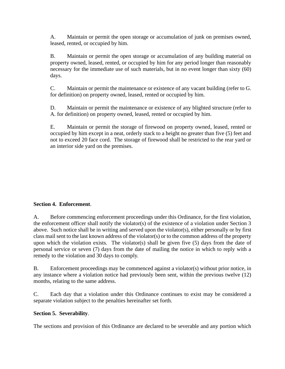A. Maintain or permit the open storage or accumulation of junk on premises owned, leased, rented, or occupied by him.

B. Maintain or permit the open storage or accumulation of any building material on property owned, leased, rented, or occupied by him for any period longer than reasonably necessary for the immediate use of such materials, but in no event longer than sixty (60) days.

C. Maintain or permit the maintenance or existence of any vacant building (refer to G. for definition) on property owned, leased, rented or occupied by him.

D. Maintain or permit the maintenance or existence of any blighted structure (refer to A. for definition) on property owned, leased, rented or occupied by him.

E. Maintain or permit the storage of firewood on property owned, leased, rented or occupied by him except in a neat, orderly stack to a height no greater than five (5) feet and not to exceed 20 face cord. The storage of firewood shall be restricted to the rear yard or an interior side yard on the premises.

# **Section 4. Enforcement**.

A. Before commencing enforcement proceedings under this Ordinance, for the first violation, the enforcement officer shall notify the violator(s) of the existence of a violation under Section 3 above. Such notice shall be in writing and served upon the violator(s), either personally or by first class mail sent to the last known address of the violator(s) or to the common address of the property upon which the violation exists. The violator(s) shall be given five  $(5)$  days from the date of personal service or seven (7) days from the date of mailing the notice in which to reply with a remedy to the violation and 30 days to comply.

B. Enforcement proceedings may be commenced against a violator(s) without prior notice, in any instance where a violation notice had previously been sent, within the previous twelve (12) months, relating to the same address.

C. Each day that a violation under this Ordinance continues to exist may be considered a separate violation subject to the penalties hereinafter set forth.

# **Section 5. Severability**.

The sections and provision of this Ordinance are declared to be severable and any portion which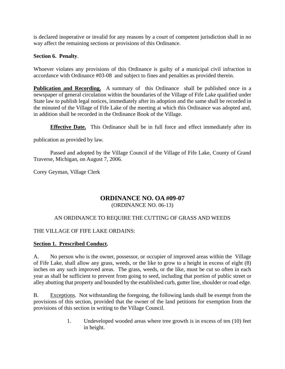is declared inoperative or invalid for any reasons by a court of competent jurisdiction shall in no way affect the remaining sections or provisions of this Ordinance.

# **Section 6. Penalty**.

Whoever violates any provisions of this Ordinance is guilty of a municipal civil infraction in accordance with Ordinance #03-08 and subject to fines and penalties as provided therein.

**Publication and Recording.** A summary of this Ordinance shall be published once in a newspaper of general circulation within the boundaries of the Village of Fife Lake qualified under State law to publish legal notices, immediately after its adoption and the same shall be recorded in the minuted of the Village of Fife Lake of the meeting at which this Ordinance was adopted and, in addition shall be recorded in the Ordinance Book of the Village.

**Effective Date.** This Ordinance shall be in full force and effect immediately after its

publication as provided by law.

Passed and adopted by the Village Council of the Village of Fife Lake, County of Grand Traverse, Michigan, on August 7, 2006.

Corey Geyman, Village Clerk

# **ORDINANCE NO. OA #09-07** (ORDINANCE NO. 06-13)

# AN ORDINANCE TO REQUIRE THE CUTTING OF GRASS AND WEEDS

## THE VILLAGE OF FIFE LAKE ORDAINS:

## **Section 1. Prescribed Conduct.**

A. No person who is the owner, possessor, or occupier of improved areas within the Village of Fife Lake, shall allow any grass, weeds, or the like to grow to a height in excess of eight (8) inches on any such improved areas. The grass, weeds, or the like, must be cut so often in each year as shall be sufficient to prevent from going to seed, including that portion of public street or alley abutting that property and bounded by the established curb, gutter line, shoulder or road edge.

B. Exceptions. Not withstanding the foregoing, the following lands shall be exempt from the provisions of this section, provided that the owner of the land petitions for exemption from the provisions of this section in writing to the Village Council.

> 1. Undeveloped wooded areas where tree growth is in excess of ten (10) feet in height.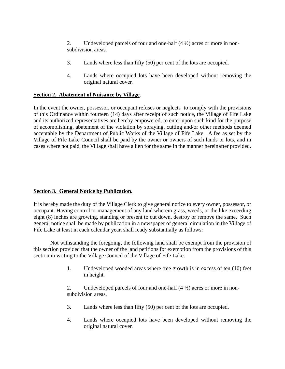2. Undeveloped parcels of four and one-half  $(4 \frac{1}{2})$  acres or more in nonsubdivision areas.

- 3. Lands where less than fifty (50) per cent of the lots are occupied.
- 4. Lands where occupied lots have been developed without removing the original natural cover.

# **Section 2. Abatement of Nuisance by Village**.

In the event the owner, possessor, or occupant refuses or neglects to comply with the provisions of this Ordinance within fourteen (14) days after receipt of such notice, the Village of Fife Lake and its authorized representatives are hereby empowered, to enter upon such kind for the purpose of accomplishing, abatement of the violation by spraying, cutting and/or other methods deemed acceptable by the Department of Public Works of the Village of Fife Lake. A fee as set by the Village of Fife Lake Council shall be paid by the owner or owners of such lands or lots, and in cases where not paid, the Village shall have a lien for the same in the manner hereinafter provided.

# **Section 3. General Notice by Publication.**

It is hereby made the duty of the Village Clerk to give general notice to every owner, possessor, or occupant. Having control or management of any land wherein grass, weeds, or the like exceeding eight (8) inches are growing, standing or present to cut down, destroy or remove the same. Such general notice shall be made by publication in a newspaper of general circulation in the Village of Fife Lake at least in each calendar year, shall ready substantially as follows:

Not withstanding the foregoing, the following land shall be exempt from the provision of this section provided that the owner of the land petitions for exemption from the provisions of this section in writing to the Village Council of the Village of Fife Lake.

> 1. Undeveloped wooded areas where tree growth is in excess of ten (10) feet in height.

2. Undeveloped parcels of four and one-half  $(4 \frac{1}{2})$  acres or more in nonsubdivision areas.

- 3. Lands where less than fifty (50) per cent of the lots are occupied.
- 4. Lands where occupied lots have been developed without removing the original natural cover.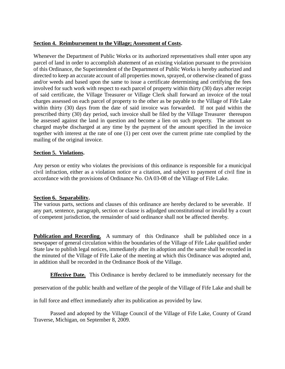# **Section 4. Reimbursement to the Village; Assessment of Costs.**

Whenever the Department of Public Works or its authorized representatives shall enter upon any parcel of land in order to accomplish abatement of an existing violation pursuant to the provision of this Ordinance, the Superintendent of the Department of Public Works is hereby authorized and directed to keep an accurate account of all properties mown, sprayed, or otherwise cleaned of grass and/or weeds and based upon the same to issue a certificate determining and certifying the fees involved for such work with respect to each parcel of property within thirty (30) days after receipt of said certificate, the Village Treasurer or Village Clerk shall forward an invoice of the total charges assessed on each parcel of property to the other as be payable to the Village of Fife Lake within thirty (30) days from the date of said invoice was forwarded. If not paid within the prescribed thirty (30) day period, such invoice shall be filed by the Village Treasurer thereupon be assessed against the land in question and become a lien on such property. The amount so charged maybe discharged at any time by the payment of the amount specified in the invoice together with interest at the rate of one (1) per cent over the current prime rate complied by the mailing of the original invoice.

# **Section 5. Violations.**

Any person or entity who violates the provisions of this ordinance is responsible for a municipal civil infraction, either as a violation notice or a citation, and subject to payment of civil fine in accordance with the provisions of Ordinance No. OA 03-08 of the Village of Fife Lake.

## **Section 6. Separability.**

The various parts, sections and clauses of this ordinance are hereby declared to be severable. If any part, sentence, paragraph, section or clause is adjudged unconstitutional or invalid by a court of competent jurisdiction, the remainder of said ordinance shall not be affected thereby.

**Publication and Recording.** A summary of this Ordinance shall be published once in a newspaper of general circulation within the boundaries of the Village of Fife Lake qualified under State law to publish legal notices, immediately after its adoption and the same shall be recorded in the minuted of the Village of Fife Lake of the meeting at which this Ordinance was adopted and, in addition shall be recorded in the Ordinance Book of the Village.

**Effective Date.** This Ordinance is hereby declared to be immediately necessary for the

preservation of the public health and welfare of the people of the Village of Fife Lake and shall be

in full force and effect immediately after its publication as provided by law.

Passed and adopted by the Village Council of the Village of Fife Lake, County of Grand Traverse, Michigan, on September 8, 2009.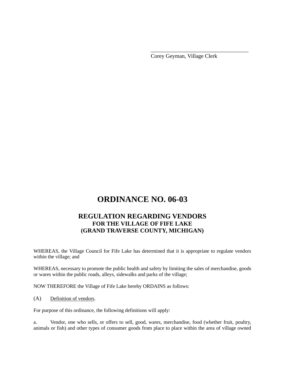Corey Geyman, Village Clerk

\_\_\_\_\_\_\_\_\_\_\_\_\_\_\_\_\_\_\_\_\_\_\_\_\_\_\_\_\_\_\_\_\_\_\_

# **ORDINANCE NO. 06-03**

# **REGULATION REGARDING VENDORS FOR THE VILLAGE OF FIFE LAKE (GRAND TRAVERSE COUNTY, MICHIGAN)**

WHEREAS, the Village Council for Fife Lake has determined that it is appropriate to regulate vendors within the village; and

WHEREAS, necessary to promote the public health and safety by limiting the sales of merchandise, goods or wares within the public roads, alleys, sidewalks and parks of the village;

NOW THEREFORE the Village of Fife Lake hereby ORDAINS as follows:

(A) Definition of vendors.

For purpose of this ordinance, the following definitions will apply:

a. Vendor, one who sells, or offers to sell, good, wares, merchandise, food (whether fruit, poultry, animals or fish) and other types of consumer goods from place to place within the area of village owned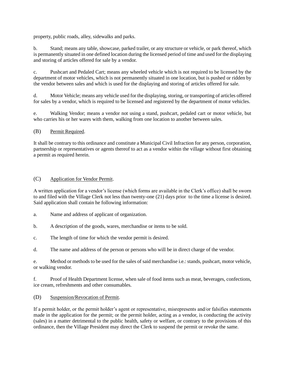property, public roads, alley, sidewalks and parks.

b. Stand; means any table, showcase, parked trailer, or any structure or vehicle, or park thereof, which is permanently situated in one defined location during the licensed period of time and used for the displaying and storing of articles offered for sale by a vendor.

c. Pushcart and Pedaled Cart; means any wheeled vehicle which is not required to be licensed by the department of motor vehicles, which is not permanently situated in one location, but is pushed or ridden by the vendor between sales and which is used for the displaying and storing of articles offered for sale.

d. Motor Vehicle; means any vehicle used for the displaying, storing, or transporting of articles offered for sales by a vendor, which is required to be licensed and registered by the department of motor vehicles.

e. Walking Vendor; means a vendor not using a stand, pushcart, pedaled cart or motor vehicle, but who carries his or her wares with them, walking from one location to another between sales.

#### (B) Permit Required.

It shall be contrary to this ordinance and constitute a Municipal Civil Infraction for any person, corporation, partnership or representatives or agents thereof to act as a vendor within the village without first obtaining a permit as required herein.

#### (C) Application for Vendor Permit.

A written application for a vendor's license (which forms are available in the Clerk's office) shall be sworn to and filed with the Village Clerk not less than twenty-one (21) days prior to the time a license is desired. Said application shall contain he following information:

- a. Name and address of applicant of organization.
- b. A description of the goods, wares, merchandise or items to be sold.
- c. The length of time for which the vendor permit is desired.
- d. The name and address of the person or persons who will be in direct charge of the vendor.

e. Method or methods to be used for the sales of said merchandise i.e.: stands, pushcart, motor vehicle, or walking vendor.

f. Proof of Health Department license, when sale of food items such as meat, beverages, confections, ice cream, refreshments and other consumables.

(D) Suspension/Revocation of Permit.

If a permit holder, or the permit holder's agent or representative, misrepresents and/or falsifies statements made in the application for the permit; or the permit holder, acting as a vendor, is conducting the activity (sales) in a matter detrimental to the public health, safety or welfare, or contrary to the provisions of this ordinance, then the Village President may direct the Clerk to suspend the permit or revoke the same.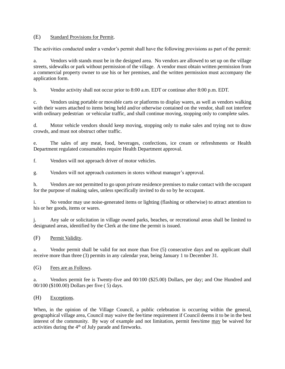#### (E) Standard Provisions for Permit.

The activities conducted under a vendor's permit shall have the following provisions as part of the permit:

a. Vendors with stands must be in the designed area. No vendors are allowed to set up on the village streets, sidewalks or park without permission of the village. A vendor must obtain written permission from a commercial property owner to use his or her premises, and the written permission must accompany the application form.

b. Vendor activity shall not occur prior to 8:00 a.m. EDT or continue after 8:00 p.m. EDT.

c. Vendors using portable or movable carts or platforms to display wares, as well as vendors walking with their wares attached to items being held and/or otherwise contained on the vendor, shall not interfere with ordinary pedestrian or vehicular traffic, and shall continue moving, stopping only to complete sales.

d. Motor vehicle vendors should keep moving, stopping only to make sales and trying not to draw crowds, and must not obstruct other traffic.

e. The sales of any meat, food, beverages, confections, ice cream or refreshments or Health Department regulated consumables require Health Department approval.

f. Vendors will not approach driver of motor vehicles.

g. Vendors will not approach customers in stores without manager's approval.

h. Vendors are not permitted to go upon private residence premises to make contact with the occupant for the purpose of making sales, unless specifically invited to do so by he occupant.

i. No vendor may use noise-generated items or lighting (flashing or otherwise) to attract attention to his or her goods, items or wares.

j. Any sale or solicitation in village owned parks, beaches, or recreational areas shall be limited to designated areas, identified by the Clerk at the time the permit is issued.

#### (F) Permit Validity.

a. Vendor permit shall be valid for not more than five (5) consecutive days and no applicant shall receive more than three (3) permits in any calendar year, being January 1 to December 31.

#### (G) Fees are as Follows.

a. Vendors permit fee is Twenty-five and 00/100 (\$25.00) Dollars, per day; and One Hundred and 00/100 (\$100.00) Dollars per five ( 5) days.

#### (H) Exceptions.

When, in the opinion of the Village Council, a public celebration is occurring within the general, geographical village area, Council may waive the fee/time requirement if Council deems it to be in the best interest of the community. By way of example and not limitation, permit fees/time may be waived for activities during the  $4<sup>th</sup>$  of July parade and fireworks.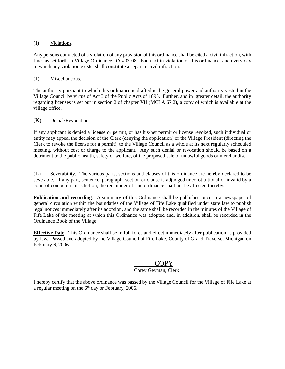#### (I) Violations.

Any persons convicted of a violation of any provision of this ordinance shall be cited a civil infraction, with fines as set forth in Village Ordinance OA #03-08. Each act in violation of this ordinance, and every day in which any violation exists, shall constitute a separate civil infraction.

#### (J) Miscellaneous.

The authority pursuant to which this ordinance is drafted is the general power and authority vested in the Village Council by virtue of Act 3 of the Public Acts of 1895. Further, and in greater detail, the authority regarding licenses is set out in section 2 of chapter VII (MCLA 67.2), a copy of which is available at the village office.

#### (K) Denial/Revocation.

If any applicant is denied a license or permit, or has his/her permit or license revoked, such individual or entity may appeal the decision of the Clerk (denying the application) or the Village President (directing the Clerk to revoke the license for a permit), to the Village Council as a whole at its next regularly scheduled meeting, without cost or charge to the applicant. Any such denial or revocation should be based on a detriment to the public health, safety or welfare, of the proposed sale of unlawful goods or merchandise.

(L) Severability. The various parts, sections and clauses of this ordinance are hereby declared to be severable. If any part, sentence, paragraph, section or clause is adjudged unconstitutional or invalid by a court of competent jurisdiction, the remainder of said ordinance shall not be affected thereby.

**Publication and recording.** A summary of this Ordinance shall be published once in a newspaper of general circulation within the boundaries of the Village of Fife Lake qualified under state law to publish legal notices immediately after its adoption, and the same shall be recorded in the minutes of the Village of Fife Lake of the meeting at which this Ordinance was adopted and, in addition, shall be recorded in the Ordinance Book of the Village.

**Effective Date**. This Ordinance shall be in full force and effect immediately after publication as provided by law. Passed and adopted by the Village Council of Fife Lake, County of Grand Traverse, Michigan on February 6, 2006.

# **COPY**

#### Corey Geyman, Clerk

I hereby certify that the above ordinance was passed by the Village Council for the Village of Fife Lake at a regular meeting on the  $6<sup>th</sup>$  day or February, 2006.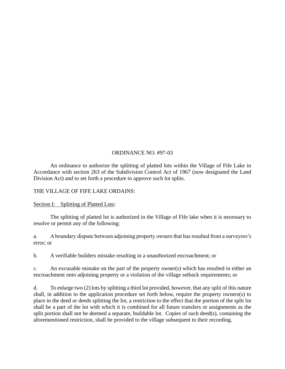# ORDINANCE NO. #97-03

An ordinance to authorize the splitting of platted lots within the Village of Fife Lake in Accordance with section 263 of the Subdivision Control Act of 1967 (now designated the Land Division Act) and to set forth a procedure to approve such lot splits.

THE VILLAGE OF FIFE LAKE ORDAINS:

Section I: Splitting of Platted Lots:

The splitting of platted lot is authorized in the Village of Fife lake when it is necessary to resolve or permit any of the following:

a. A boundary dispute between adjoining property owners that has resulted from a surveyors's error; or

b. A verifiable builders mistake resulting in a unauthorized encroachment; or

c. An excusable mistake on the part of the property owner(s) which has resulted in either an encroachment onto adjoining property or a violation of the village setback requirements; or

d. To enlarge two (2) lots by splitting a third lot provided, however, that any split of this nature shall, in addition to the application procedure set forth below, require the property owners(s) to place in the deed or deeds splitting the lot, a restriction to the effect that the portion of the split lot shall be a part of the lot with which it is combined for all future transfers or assignments as the split portion shall not be deemed a separate, buildable lot. Copies of such deed(s), containing the aforementioned restriction, shall be provided to the village subsequent to their recording.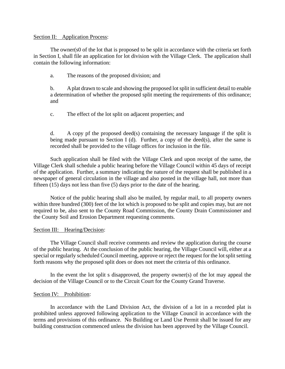#### Section II: Application Process:

The owner(s0 of the lot that is proposed to be split in accordance with the criteria set forth in Section I, shall file an application for lot division with the Village Clerk. The application shall contain the following information:

a. The reasons of the proposed division; and

b. A plat drawn to scale and showing the proposed lot split in sufficient detail to enable a determination of whether the proposed split meeting the requirements of this ordinance; and

c. The effect of the lot split on adjacent properties; and

d. A copy pf the proposed deed(s) containing the necessary language if the split is being made pursuant to Section I (d). Further, a copy of the deed(s), after the same is recorded shall be provided to the village offices for inclusion in the file.

Such application shall be filed with the Village Clerk and upon receipt of the same, the Village Clerk shall schedule a public hearing before the Village Council within 45 days of receipt of the application. Further, a summary indicating the nature of the request shall be published in a newspaper of general circulation in the village and also posted in the village hall, not more than fifteen (15) days not less than five (5) days prior to the date of the hearing.

Notice of the public hearing shall also be mailed, by regular mail, to all property owners within three hundred (300) feet of the lot which is proposed to be split and copies may, but are not required to be, also sent to the County Road Commission, the County Drain Commissioner and the County Soil and Erosion Department requesting comments.

## Section III: Hearing/Decision:

The Village Council shall receive comments and review the application during the course of the public hearing. At the conclusion of the public hearing, the Village Council will, either at a special or regularly scheduled Council meeting, approve or reject the request for the lot split setting forth reasons why the proposed split does or does not meet the criteria of this ordinance.

In the event the lot split s disapproved, the property owner(s) of the lot may appeal the decision of the Village Council or to the Circuit Court for the County Grand Traverse.

## Section IV: Prohibition:

In accordance with the Land Division Act, the division of a lot in a recorded plat is prohibited unless approved following application to the Village Council in accordance with the terms and provisions of this ordinance. No Building or Land Use Permit shall be issued for any building construction commenced unless the division has been approved by the Village Council.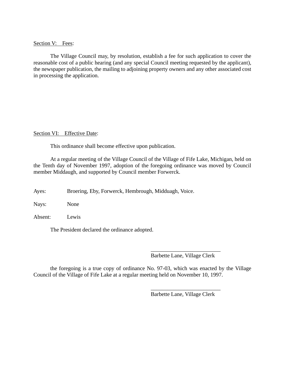#### Section V: Fees:

The Village Council may, by resolution, establish a fee for such application to cover the reasonable cost of a public hearing (and any special Council meeting requested by the applicant), the newspaper publication, the mailing to adjoining property owners and any other associated cost in processing the application.

#### Section VI: Effective Date:

This ordinance shall become effective upon publication.

At a regular meeting of the Village Council of the Village of Fife Lake, Michigan, held on the Tenth day of November 1997, adoption of the foregoing ordinance was moved by Council member Middaugh, and supported by Council member Forwerck.

Ayes: Broering, Eby, Forwerck, Hembrough, Midduagh, Voice.

Nays: None

Absent: Lewis

The President declared the ordinance adopted.

\_\_\_\_\_\_\_\_\_\_\_\_\_\_\_\_\_\_\_\_\_\_\_\_\_ Barbette Lane, Village Clerk

the foregoing is a true copy of ordinance No. 97-03, which was enacted by the Village Council of the Village of Fife Lake at a regular meeting held on November 10, 1997.

> \_\_\_\_\_\_\_\_\_\_\_\_\_\_\_\_\_\_\_\_\_\_\_\_\_ Barbette Lane, Village Clerk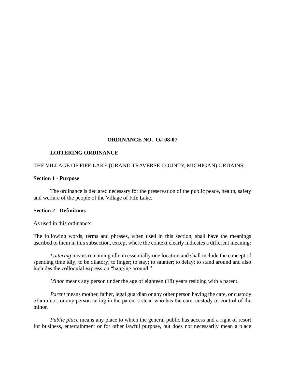## **ORDINANCE NO. O# 08-07**

#### **LOITERING ORDINANCE**

#### THE VILLAGE OF FIFE LAKE (GRAND TRAVERSE COUNTY, MICHIGAN) ORDAINS:

#### **Section 1 - Purpose**

The ordinance is declared necessary for the preservation of the public peace, health, safety and welfare of the people of the Village of Fife Lake.

#### **Section 2 - Definitions**

As used in this ordinance:

The following words, terms and phrases, when used in this section, shall have the meanings ascribed to them in this subsection, except where the context clearly indicates a different meaning:

*Loitering* means remaining idle in essentially one location and shall include the concept of spending time idly; to be dilatory; to linger; to stay; to saunter; to delay; to stand around and also includes the colloquial expression "hanging around."

*Minor* means any person under the age of eighteen (18) years residing with a parent.

*Parent* means mother, father, legal guardian or any other person having the care, or custody of a minor, or any person acting in the parent's stead who has the care, custody or control of the minor.

*Public place* means any place to which the general public has access and a right of resort for business, entertainment or for other lawful purpose, but does not necessarily mean a place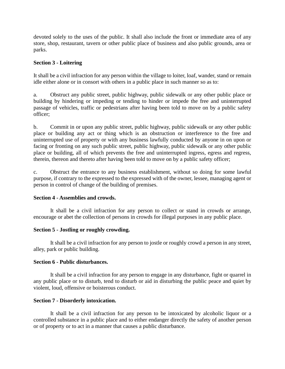devoted solely to the uses of the public. It shall also include the front or immediate area of any store, shop, restaurant, tavern or other public place of business and also public grounds, area or parks.

# **Section 3 - Loitering**

It shall be a civil infraction for any person within the village to loiter, loaf, wander, stand or remain idle either alone or in consort with others in a public place in such manner so as to:

a. Obstruct any public street, public highway, public sidewalk or any other public place or building by hindering or impeding or tending to hinder or impede the free and uninterrupted passage of vehicles, traffic or pedestrians after having been told to move on by a public safety officer;

b. Commit in or upon any public street, public highway, public sidewalk or any other public place or building any act or thing which is an obstruction or interference to the free and uninterrupted use of property or with any business lawfully conducted by anyone in on upon or facing or fronting on any such public street, public highway, public sidewalk or any other public place or building, all of which prevents the free and uninterrupted ingress, egress and regress, therein, thereon and thereto after having been told to move on by a public safety officer;

c. Obstruct the entrance to any business establishment, without so doing for some lawful purpose, if contrary to the expressed to the expressed with of the owner, lessee, managing agent or person in control of change of the building of premises.

## **Section 4 - Assemblies and crowds.**

It shall be a civil infraction for any person to collect or stand in crowds or arrange, encourage or abet the collection of persons in crowds for illegal purposes in any public place.

## **Section 5 - Jostling or roughly crowding.**

It shall be a civil infraction for any person to jostle or roughly crowd a person in any street, alley, park or public building.

## **Section 6 - Public disturbances.**

It shall be a civil infraction for any person to engage in any disturbance, fight or quarrel in any public place or to disturb, tend to disturb or aid in disturbing the public peace and quiet by violent, loud, offensive or boisterous conduct.

## **Section 7 - Disorderly intoxication.**

It shall be a civil infraction for any person to be intoxicated by alcoholic liquor or a controlled substance in a public place and to either endanger directly the safety of another person or of property or to act in a manner that causes a public disturbance.